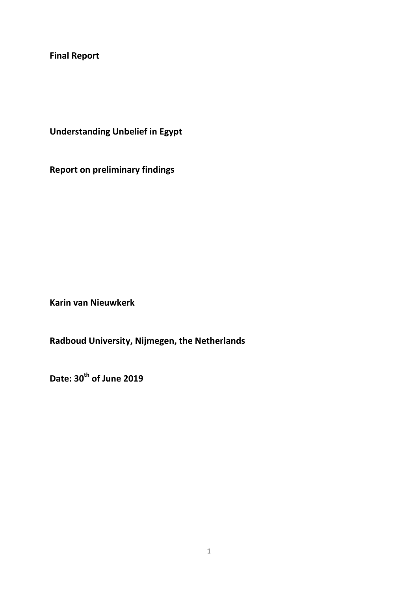**Final Report** 

**Understanding Unbelief in Egypt**

**Report on preliminary findings**

**Karin van Nieuwkerk**

**Radboud University, Nijmegen, the Netherlands**

**Date: 30th of June 2019**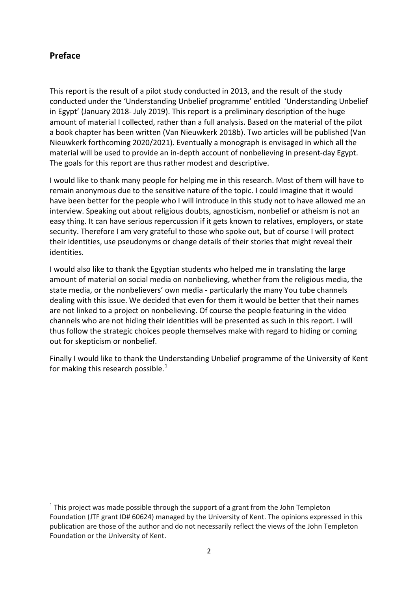## **Preface**

 $\overline{a}$ 

This report is the result of a pilot study conducted in 2013, and the result of the study conducted under the 'Understanding Unbelief programme' entitled 'Understanding Unbelief in Egypt' (January 2018- July 2019). This report is a preliminary description of the huge amount of material I collected, rather than a full analysis. Based on the material of the pilot a book chapter has been written (Van Nieuwkerk 2018b). Two articles will be published (Van Nieuwkerk forthcoming 2020/2021). Eventually a monograph is envisaged in which all the material will be used to provide an in-depth account of nonbelieving in present-day Egypt. The goals for this report are thus rather modest and descriptive.

I would like to thank many people for helping me in this research. Most of them will have to remain anonymous due to the sensitive nature of the topic. I could imagine that it would have been better for the people who I will introduce in this study not to have allowed me an interview. Speaking out about religious doubts, agnosticism, nonbelief or atheism is not an easy thing. It can have serious repercussion if it gets known to relatives, employers, or state security. Therefore I am very grateful to those who spoke out, but of course I will protect their identities, use pseudonyms or change details of their stories that might reveal their identities.

I would also like to thank the Egyptian students who helped me in translating the large amount of material on social media on nonbelieving, whether from the religious media, the state media, or the nonbelievers' own media - particularly the many You tube channels dealing with this issue. We decided that even for them it would be better that their names are not linked to a project on nonbelieving. Of course the people featuring in the video channels who are not hiding their identities will be presented as such in this report. I will thus follow the strategic choices people themselves make with regard to hiding or coming out for skepticism or nonbelief.

Finally I would like to thank the Understanding Unbelief programme of the University of Kent for making this research possible. $<sup>1</sup>$  $<sup>1</sup>$  $<sup>1</sup>$ </sup>

<span id="page-1-0"></span> $1$  This project was made possible through the support of a grant from the John Templeton Foundation (JTF grant ID# 60624) managed by the University of Kent. The opinions expressed in this publication are those of the author and do not necessarily reflect the views of the John Templeton Foundation or the University of Kent.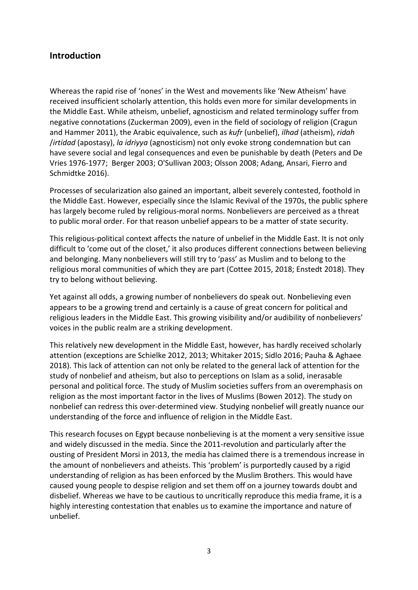### **Introduction**

Whereas the rapid rise of 'nones' in the West and movements like 'New Atheism' have received insufficient scholarly attention, this holds even more for similar developments in the Middle East. While atheism, unbelief, agnosticism and related terminology suffer from negative connotations (Zuckerman 2009), even in the field of sociology of religion (Cragun and Hammer 2011), the Arabic equivalence, such as *kufr* (unbelief), *ilhad* (atheism), *ridah* /*irtidad* (apostasy), *la idriyya* (agnosticism) not only evoke strong condemnation but can have severe social and legal consequences and even be punishable by death (Peters and De Vries 1976-1977; Berger 2003; O'Sullivan 2003; Olsson 2008; Adang, Ansari, Fierro and Schmidtke 2016).

Processes of secularization also gained an important, albeit severely contested, foothold in the Middle East. However, especially since the Islamic Revival of the 1970s, the public sphere has largely become ruled by religious-moral norms. Nonbelievers are perceived as a threat to public moral order. For that reason unbelief appears to be a matter of state security.

This religious-political context affects the nature of unbelief in the Middle East. It is not only difficult to 'come out of the closet,' it also produces different connections between believing and belonging. Many nonbelievers will still try to 'pass' as Muslim and to belong to the religious moral communities of which they are part (Cottee 2015, 2018; Enstedt 2018). They try to belong without believing.

Yet against all odds, a growing number of nonbelievers do speak out. Nonbelieving even appears to be a growing trend and certainly is a cause of great concern for political and religious leaders in the Middle East. This growing visibility and/or audibility of nonbelievers' voices in the public realm are a striking development.

This relatively new development in the Middle East, however, has hardly received scholarly attention (exceptions are Schielke 2012, 2013; Whitaker 2015; Sidlo 2016; Pauha & Aghaee 2018). This lack of attention can not only be related to the general lack of attention for the study of nonbelief and atheism, but also to perceptions on Islam as a solid, inerasable personal and political force. The study of Muslim societies suffers from an overemphasis on religion as the most important factor in the lives of Muslims (Bowen 2012). The study on nonbelief can redress this over-determined view. Studying nonbelief will greatly nuance our understanding of the force and influence of religion in the Middle East.

This research focuses on Egypt because nonbelieving is at the moment a very sensitive issue and widely discussed in the media. Since the 2011-revolution and particularly after the ousting of President Morsi in 2013, the media has claimed there is a tremendous increase in the amount of nonbelievers and atheists. This 'problem' is purportedly caused by a rigid understanding of religion as has been enforced by the Muslim Brothers. This would have caused young people to despise religion and set them off on a journey towards doubt and disbelief. Whereas we have to be cautious to uncritically reproduce this media frame, it is a highly interesting contestation that enables us to examine the importance and nature of unbelief.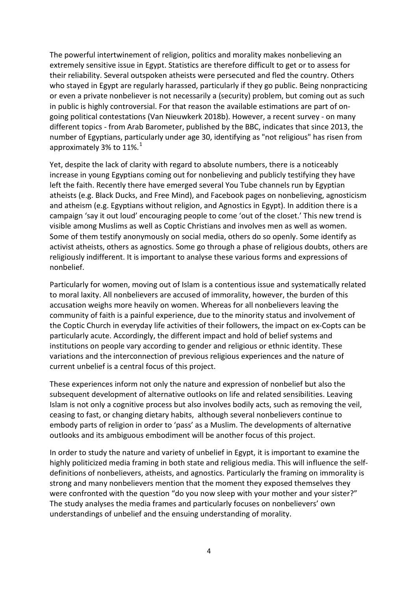The powerful intertwinement of religion, politics and morality makes nonbelieving an extremely sensitive issue in Egypt. Statistics are therefore difficult to get or to assess for their reliability. Several outspoken atheists were persecuted and fled the country. Others who stayed in Egypt are regularly harassed, particularly if they go public. Being nonpracticing or even a private nonbeliever is not necessarily a (security) problem, but coming out as such in public is highly controversial. For that reason the available estimations are part of ongoing political contestations (Van Nieuwkerk 2018b). However, a recent survey - on many different topics - from Arab Barometer, published by the BBC, indicates that since 2013, the number of Egyptians, particularly under age 30, identifying as "not religious" has risen from approximately 3% to [1](#page-33-0)1%. $^{1}$ 

Yet, despite the lack of clarity with regard to absolute numbers, there is a noticeably increase in young Egyptians coming out for nonbelieving and publicly testifying they have left the faith. Recently there have emerged several You Tube channels run by Egyptian atheists (e.g. Black Ducks, and Free Mind), and Facebook pages on nonbelieving, agnosticism and atheism (e.g. Egyptians without religion, and Agnostics in Egypt). In addition there is a campaign 'say it out loud' encouraging people to come 'out of the closet.' This new trend is visible among Muslims as well as Coptic Christians and involves men as well as women. Some of them testify anonymously on social media, others do so openly. Some identify as activist atheists, others as agnostics. Some go through a phase of religious doubts, others are religiously indifferent. It is important to analyse these various forms and expressions of nonbelief.

Particularly for women, moving out of Islam is a contentious issue and systematically related to moral laxity. All nonbelievers are accused of immorality, however, the burden of this accusation weighs more heavily on women. Whereas for all nonbelievers leaving the community of faith is a painful experience, due to the minority status and involvement of the Coptic Church in everyday life activities of their followers, the impact on ex-Copts can be particularly acute. Accordingly, the different impact and hold of belief systems and institutions on people vary according to gender and religious or ethnic identity. These variations and the interconnection of previous religious experiences and the nature of current unbelief is a central focus of this project.

These experiences inform not only the nature and expression of nonbelief but also the subsequent development of alternative outlooks on life and related sensibilities. Leaving Islam is not only a cognitive process but also involves bodily acts, such as removing the veil, ceasing to fast, or changing dietary habits, although several nonbelievers continue to embody parts of religion in order to 'pass' as a Muslim. The developments of alternative outlooks and its ambiguous embodiment will be another focus of this project.

In order to study the nature and variety of unbelief in Egypt, it is important to examine the highly politicized media framing in both state and religious media. This will influence the selfdefinitions of nonbelievers, atheists, and agnostics. Particularly the framing on immorality is strong and many nonbelievers mention that the moment they exposed themselves they were confronted with the question "do you now sleep with your mother and your sister?" The study analyses the media frames and particularly focuses on nonbelievers' own understandings of unbelief and the ensuing understanding of morality.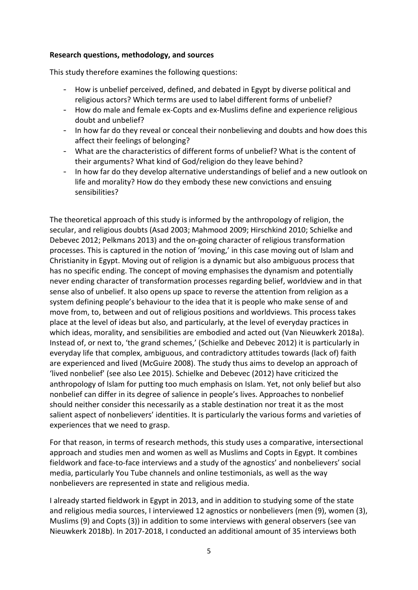### **Research questions, methodology, and sources**

This study therefore examines the following questions:

- How is unbelief perceived, defined, and debated in Egypt by diverse political and religious actors? Which terms are used to label different forms of unbelief?
- How do male and female ex-Copts and ex-Muslims define and experience religious doubt and unbelief?
- In how far do they reveal or conceal their nonbelieving and doubts and how does this affect their feelings of belonging?
- What are the characteristics of different forms of unbelief? What is the content of their arguments? What kind of God/religion do they leave behind?
- In how far do they develop alternative understandings of belief and a new outlook on life and morality? How do they embody these new convictions and ensuing sensibilities?

The theoretical approach of this study is informed by the anthropology of religion, the secular, and religious doubts (Asad 2003; Mahmood 2009; Hirschkind 2010; Schielke and Debevec 2012; Pelkmans 2013) and the on-going character of religious transformation processes. This is captured in the notion of 'moving,' in this case moving out of Islam and Christianity in Egypt. Moving out of religion is a dynamic but also ambiguous process that has no specific ending. The concept of moving emphasises the dynamism and potentially never ending character of transformation processes regarding belief, worldview and in that sense also of unbelief. It also opens up space to reverse the attention from religion as a system defining people's behaviour to the idea that it is people who make sense of and move from, to, between and out of religious positions and worldviews. This process takes place at the level of ideas but also, and particularly, at the level of everyday practices in which ideas, morality, and sensibilities are embodied and acted out (Van Nieuwkerk 2018a). Instead of, or next to, 'the grand schemes,' (Schielke and Debevec 2012) it is particularly in everyday life that complex, ambiguous, and contradictory attitudes towards (lack of) faith are experienced and lived (McGuire 2008). The study thus aims to develop an approach of 'lived nonbelief' (see also Lee 2015). Schielke and Debevec (2012) have criticized the anthropology of Islam for putting too much emphasis on Islam. Yet, not only belief but also nonbelief can differ in its degree of salience in people's lives. Approaches to nonbelief should neither consider this necessarily as a stable destination nor treat it as the most salient aspect of nonbelievers' identities. It is particularly the various forms and varieties of experiences that we need to grasp.

For that reason, in terms of research methods, this study uses a comparative, intersectional approach and studies men and women as well as Muslims and Copts in Egypt. It combines fieldwork and face-to-face interviews and a study of the agnostics' and nonbelievers' social media, particularly You Tube channels and online testimonials, as well as the way nonbelievers are represented in state and religious media.

I already started fieldwork in Egypt in 2013, and in addition to studying some of the state and religious media sources, I interviewed 12 agnostics or nonbelievers (men (9), women (3), Muslims (9) and Copts (3)) in addition to some interviews with general observers (see van Nieuwkerk 2018b). In 2017-2018, I conducted an additional amount of 35 interviews both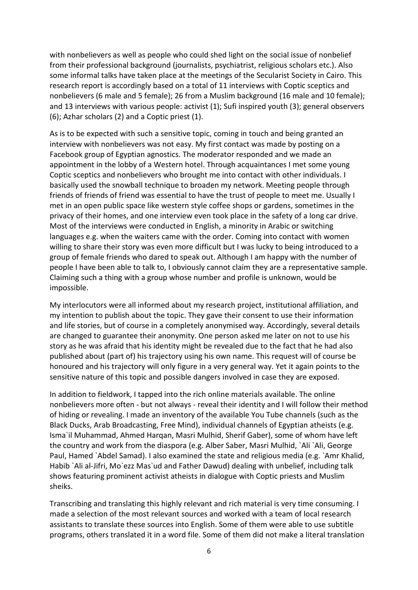with nonbelievers as well as people who could shed light on the social issue of nonbelief from their professional background (journalists, psychiatrist, religious scholars etc.). Also some informal talks have taken place at the meetings of the Secularist Society in Cairo. This research report is accordingly based on a total of 11 interviews with Coptic sceptics and nonbelievers (6 male and 5 female); 26 from a Muslim background (16 male and 10 female); and 13 interviews with various people: activist (1); Sufi inspired youth (3); general observers (6); Azhar scholars (2) and a Coptic priest (1).

As is to be expected with such a sensitive topic, coming in touch and being granted an interview with nonbelievers was not easy. My first contact was made by posting on a Facebook group of Egyptian agnostics. The moderator responded and we made an appointment in the lobby of a Western hotel. Through acquaintances I met some young Coptic sceptics and nonbelievers who brought me into contact with other individuals. I basically used the snowball technique to broaden my network. Meeting people through friends of friends of friend was essential to have the trust of people to meet me. Usually I met in an open public space like western style coffee shops or gardens, sometimes in the privacy of their homes, and one interview even took place in the safety of a long car drive. Most of the interviews were conducted in English, a minority in Arabic or switching languages e.g. when the waiters came with the order. Coming into contact with women willing to share their story was even more difficult but I was lucky to being introduced to a group of female friends who dared to speak out. Although I am happy with the number of people I have been able to talk to, I obviously cannot claim they are a representative sample. Claiming such a thing with a group whose number and profile is unknown, would be impossible.

My interlocutors were all informed about my research project, institutional affiliation, and my intention to publish about the topic. They gave their consent to use their information and life stories, but of course in a completely anonymised way. Accordingly, several details are changed to guarantee their anonymity. One person asked me later on not to use his story as he was afraid that his identity might be revealed due to the fact that he had also published about (part of) his trajectory using his own name. This request will of course be honoured and his trajectory will only figure in a very general way. Yet it again points to the sensitive nature of this topic and possible dangers involved in case they are exposed.

In addition to fieldwork, I tapped into the rich online materials available. The online nonbelievers more often - but not always - reveal their identity and I will follow their method of hiding or revealing. I made an inventory of the available You Tube channels (such as the Black Ducks, Arab Broadcasting, Free Mind), individual channels of Egyptian atheists (e.g. Isma`il Muhammad, Ahmed Harqan, Masri Mulhid, Sherif Gaber), some of whom have left the country and work from the diaspora (e.g. Alber Saber, Masri Mulhid, `Ali `Ali, George Paul, Hamed `Abdel Samad). I also examined the state and religious media (e.g. `Amr Khalid, Habib `Ali al-Jifri, Mo`ezz Mas`ud and Father Dawud) dealing with unbelief, including talk shows featuring prominent activist atheists in dialogue with Coptic priests and Muslim sheiks.

Transcribing and translating this highly relevant and rich material is very time consuming. I made a selection of the most relevant sources and worked with a team of local research assistants to translate these sources into English. Some of them were able to use subtitle programs, others translated it in a word file. Some of them did not make a literal translation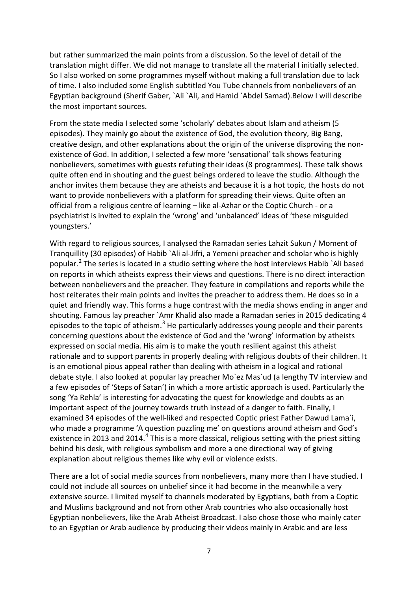but rather summarized the main points from a discussion. So the level of detail of the translation might differ. We did not manage to translate all the material I initially selected. So I also worked on some programmes myself without making a full translation due to lack of time. I also included some English subtitled You Tube channels from nonbelievers of an Egyptian background (Sherif Gaber, `Ali `Ali, and Hamid `Abdel Samad).Below I will describe the most important sources.

From the state media I selected some 'scholarly' debates about Islam and atheism (5 episodes). They mainly go about the existence of God, the evolution theory, Big Bang, creative design, and other explanations about the origin of the universe disproving the nonexistence of God. In addition, I selected a few more 'sensational' talk shows featuring nonbelievers, sometimes with guests refuting their ideas (8 programmes). These talk shows quite often end in shouting and the guest beings ordered to leave the studio. Although the anchor invites them because they are atheists and because it is a hot topic, the hosts do not want to provide nonbelievers with a platform for spreading their views. Quite often an official from a religious centre of learning – like al-Azhar or the Coptic Church - or a psychiatrist is invited to explain the 'wrong' and 'unbalanced' ideas of 'these misguided youngsters.'

With regard to religious sources, I analysed the Ramadan series Lahzit Sukun / Moment of Tranquillity (30 episodes) of Habib `Ali al-Jifri, a Yemeni preacher and scholar who is highly popular.<sup>[2](#page-33-1)</sup> The series is located in a studio setting where the host interviews Habib `Ali based on reports in which atheists express their views and questions. There is no direct interaction between nonbelievers and the preacher. They feature in compilations and reports while the host reiterates their main points and invites the preacher to address them. He does so in a quiet and friendly way. This forms a huge contrast with the media shows ending in anger and shouting. Famous lay preacher `Amr Khalid also made a Ramadan series in 2015 dedicating 4 episodes to the topic of atheism.<sup>[3](#page-33-2)</sup> He particularly addresses young people and their parents concerning questions about the existence of God and the 'wrong' information by atheists expressed on social media. His aim is to make the youth resilient against this atheist rationale and to support parents in properly dealing with religious doubts of their children. It is an emotional pious appeal rather than dealing with atheism in a logical and rational debate style. I also looked at popular lay preacher Mo`ez Mas`ud (a lengthy TV interview and a few episodes of 'Steps of Satan') in which a more artistic approach is used. Particularly the song 'Ya Rehla' is interesting for advocating the quest for knowledge and doubts as an important aspect of the journey towards truth instead of a danger to faith. Finally, I examined 34 episodes of the well-liked and respected Coptic priest Father Dawud Lama`i, who made a programme 'A question puzzling me' on questions around atheism and God's existence in 2013 and 201[4](#page-33-3).<sup>4</sup> This is a more classical, religious setting with the priest sitting behind his desk, with religious symbolism and more a one directional way of giving explanation about religious themes like why evil or violence exists.

There are a lot of social media sources from nonbelievers, many more than I have studied. I could not include all sources on unbelief since it had become in the meanwhile a very extensive source. I limited myself to channels moderated by Egyptians, both from a Coptic and Muslims background and not from other Arab countries who also occasionally host Egyptian nonbelievers, like the Arab Atheist Broadcast. I also chose those who mainly cater to an Egyptian or Arab audience by producing their videos mainly in Arabic and are less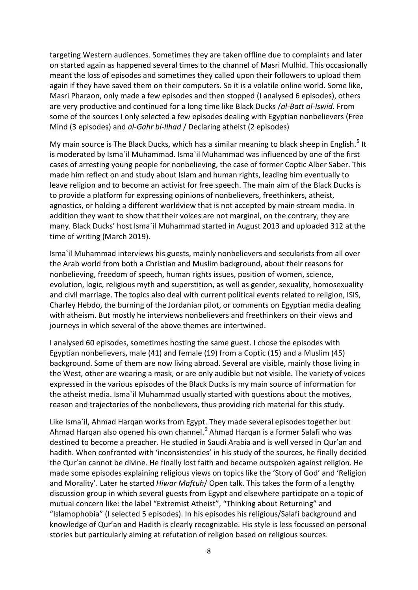targeting Western audiences. Sometimes they are taken offline due to complaints and later on started again as happened several times to the channel of Masri Mulhid. This occasionally meant the loss of episodes and sometimes they called upon their followers to upload them again if they have saved them on their computers. So it is a volatile online world. Some like, Masri Pharaon, only made a few episodes and then stopped (I analysed 6 episodes), others are very productive and continued for a long time like Black Ducks /*al-Batt al-Iswid*. From some of the sources I only selected a few episodes dealing with Egyptian nonbelievers (Free Mind (3 episodes) and *al-Gahr bi-Ilhad* / Declaring atheist (2 episodes)

My main source is The Black Ducks, which has a similar meaning to black sheep in English.<sup>[5](#page-34-0)</sup> It is moderated by Isma`il Muhammad. Isma`il Muhammad was influenced by one of the first cases of arresting young people for nonbelieving, the case of former Coptic Alber Saber. This made him reflect on and study about Islam and human rights, leading him eventually to leave religion and to become an activist for free speech. The main aim of the Black Ducks is to provide a platform for expressing opinions of nonbelievers, freethinkers, atheist, agnostics, or holding a different worldview that is not accepted by main stream media. In addition they want to show that their voices are not marginal, on the contrary, they are many. Black Ducks' host Isma`il Muhammad started in August 2013 and uploaded 312 at the time of writing (March 2019).

Isma`il Muhammad interviews his guests, mainly nonbelievers and secularists from all over the Arab world from both a Christian and Muslim background, about their reasons for nonbelieving, freedom of speech, human rights issues, position of women, science, evolution, logic, religious myth and superstition, as well as gender, sexuality, homosexuality and civil marriage. The topics also deal with current political events related to religion, ISIS, Charley Hebdo, the burning of the Jordanian pilot, or comments on Egyptian media dealing with atheism. But mostly he interviews nonbelievers and freethinkers on their views and journeys in which several of the above themes are intertwined.

I analysed 60 episodes, sometimes hosting the same guest. I chose the episodes with Egyptian nonbelievers, male (41) and female (19) from a Coptic (15) and a Muslim (45) background. Some of them are now living abroad. Several are visible, mainly those living in the West, other are wearing a mask, or are only audible but not visible. The variety of voices expressed in the various episodes of the Black Ducks is my main source of information for the atheist media. Isma`il Muhammad usually started with questions about the motives, reason and trajectories of the nonbelievers, thus providing rich material for this study.

Like Isma`il, Ahmad Harqan works from Egypt. They made several episodes together but Ahmad Hargan also opened his own channel.<sup>[6](#page-34-1)</sup> Ahmad Hargan is a former Salafi who was destined to become a preacher. He studied in Saudi Arabia and is well versed in Qur'an and hadith. When confronted with 'inconsistencies' in his study of the sources, he finally decided the Qur'an cannot be divine. He finally lost faith and became outspoken against religion. He made some episodes explaining religious views on topics like the 'Story of God' and 'Religion and Morality'. Later he started *Hiwar Maftuh*/ Open talk. This takes the form of a lengthy discussion group in which several guests from Egypt and elsewhere participate on a topic of mutual concern like: the label "Extremist Atheist", "Thinking about Returning" and "Islamophobia" (I selected 5 episodes). In his episodes his religious/Salafi background and knowledge of Qur'an and Hadith is clearly recognizable. His style is less focussed on personal stories but particularly aiming at refutation of religion based on religious sources.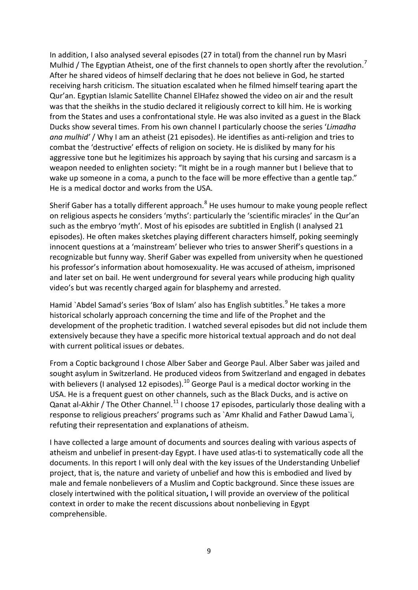In addition, I also analysed several episodes (27 in total) from the channel run by Masri Mulhid / The Egyptian Atheist, one of the first channels to open shortly after the revolution.<sup>[7](#page-34-2)</sup> After he shared videos of himself declaring that he does not believe in God, he started receiving harsh criticism. The situation escalated when he filmed himself tearing apart the Qur'an. Egyptian Islamic Satellite Channel ElHafez showed the video on air and the result was that the sheikhs in the studio declared it religiously correct to kill him. He is working from the States and uses a confrontational style. He was also invited as a guest in the Black Ducks show several times. From his own channel I particularly choose the series '*Limadha ana mulhid'* / Why I am an atheist (21 episodes). He identifies as anti-religion and tries to combat the 'destructive' effects of religion on society. He is disliked by many for his aggressive tone but he legitimizes his approach by saying that his cursing and sarcasm is a weapon needed to enlighten society: "It might be in a rough manner but I believe that to wake up someone in a coma, a punch to the face will be more effective than a gentle tap." He is a medical doctor and works from the USA.

Sherif Gaber has a totally different approach.<sup>[8](#page-34-3)</sup> He uses humour to make young people reflect on religious aspects he considers 'myths': particularly the 'scientific miracles' in the Qur'an such as the embryo 'myth'. Most of his episodes are subtitled in English (I analysed 21 episodes). He often makes sketches playing different characters himself, poking seemingly innocent questions at a 'mainstream' believer who tries to answer Sherif's questions in a recognizable but funny way. Sherif Gaber was expelled from university when he questioned his professor's information about homosexuality. He was accused of atheism, imprisoned and later set on bail. He went underground for several years while producing high quality video's but was recently charged again for blasphemy and arrested.

Hamid `Abdel Samad's series 'Box of Islam' also has English subtitles.<sup>[9](#page-34-4)</sup> He takes a more historical scholarly approach concerning the time and life of the Prophet and the development of the prophetic tradition. I watched several episodes but did not include them extensively because they have a specific more historical textual approach and do not deal with current political issues or debates.

From a Coptic background I chose Alber Saber and George Paul. Alber Saber was jailed and sought asylum in Switzerland. He produced videos from Switzerland and engaged in debates with believers (I analysed 12 episodes).<sup>[10](#page-34-5)</sup> George Paul is a medical doctor working in the USA. He is a frequent guest on other channels, such as the Black Ducks, and is active on Qanat al-Akhir / The Other Channel.<sup>[11](#page-34-6)</sup> I choose 17 episodes, particularly those dealing with a response to religious preachers' programs such as `Amr Khalid and Father Dawud Lama`i, refuting their representation and explanations of atheism.

I have collected a large amount of documents and sources dealing with various aspects of atheism and unbelief in present-day Egypt. I have used atlas-ti to systematically code all the documents. In this report I will only deal with the key issues of the Understanding Unbelief project, that is, the nature and variety of unbelief and how this is embodied and lived by male and female nonbelievers of a Muslim and Coptic background. Since these issues are closely intertwined with the political situation**,** I will provide an overview of the political context in order to make the recent discussions about nonbelieving in Egypt comprehensible.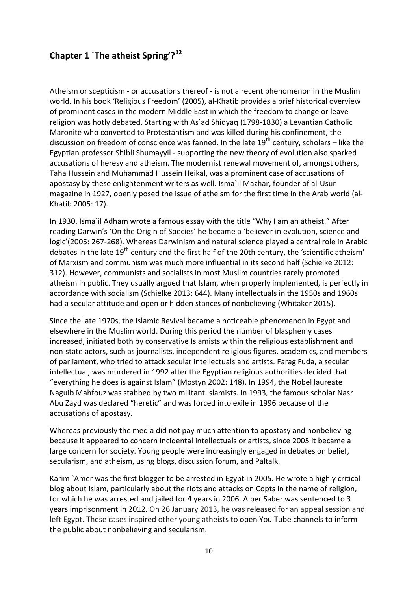# **Chapter 1 `The atheist Spring'?[12](#page-34-7)**

Atheism or scepticism - or accusations thereof - is not a recent phenomenon in the Muslim world. In his book 'Religious Freedom' (2005), al-Khatib provides a brief historical overview of prominent cases in the modern Middle East in which the freedom to change or leave religion was hotly debated. Starting with As`ad Shidyaq (1798-1830) a Levantian Catholic Maronite who converted to Protestantism and was killed during his confinement, the discussion on freedom of conscience was fanned. In the late  $19<sup>th</sup>$  century, scholars – like the Egyptian professor Shibli Shumayyil - supporting the new theory of evolution also sparked accusations of heresy and atheism. The modernist renewal movement of, amongst others, Taha Hussein and Muhammad Hussein Heikal, was a prominent case of accusations of apostasy by these enlightenment writers as well. Isma`il Mazhar, founder of al-Usur magazine in 1927, openly posed the issue of atheism for the first time in the Arab world (al-Khatib 2005: 17).

In 1930, Isma`il Adham wrote a famous essay with the title "Why I am an atheist." After reading Darwin's 'On the Origin of Species' he became a 'believer in evolution, science and logic'(2005: 267-268). Whereas Darwinism and natural science played a central role in Arabic debates in the late 19<sup>th</sup> century and the first half of the 20th century, the 'scientific atheism' of Marxism and communism was much more influential in its second half (Schielke 2012: 312). However, communists and socialists in most Muslim countries rarely promoted atheism in public. They usually argued that Islam, when properly implemented, is perfectly in accordance with socialism (Schielke 2013: 644). Many intellectuals in the 1950s and 1960s had a secular attitude and open or hidden stances of nonbelieving (Whitaker 2015).

Since the late 1970s, the Islamic Revival became a noticeable phenomenon in Egypt and elsewhere in the Muslim world. During this period the number of blasphemy cases increased, initiated both by conservative Islamists within the religious establishment and non-state actors, such as journalists, independent religious figures, academics, and members of parliament, who tried to attack secular intellectuals and artists. Farag Fuda, a secular intellectual, was murdered in 1992 after the Egyptian religious authorities decided that "everything he does is against Islam" (Mostyn 2002: 148). In 1994, the Nobel laureate Naguib Mahfouz was stabbed by two militant Islamists. In 1993, the famous scholar Nasr Abu Zayd was declared "heretic" and was forced into exile in 1996 because of the accusations of apostasy.

Whereas previously the media did not pay much attention to apostasy and nonbelieving because it appeared to concern incidental intellectuals or artists, since 2005 it became a large concern for society. Young people were increasingly engaged in debates on belief, secularism, and atheism, using blogs, discussion forum, and Paltalk.

Karim `Amer was the first blogger to be arrested in Egypt in 2005. He wrote a highly critical blog about Islam, particularly about the riots and attacks on Copts in the name of religion, for which he was arrested and jailed for 4 years in 2006. Alber Saber was sentenced to 3 years imprisonment in 2012. On 26 January 2013, he was released for an appeal session and left Egypt. These cases inspired other young atheists to open You Tube channels to inform the public about nonbelieving and secularism.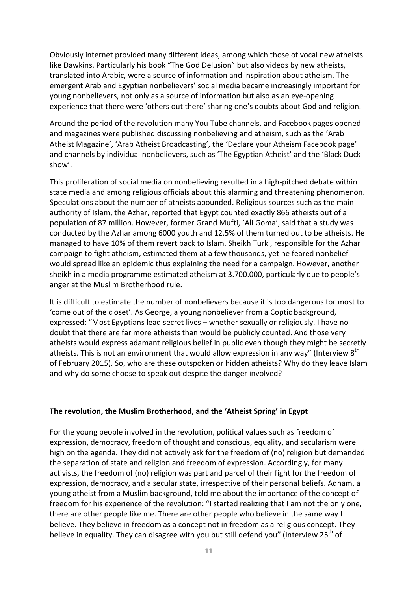Obviously internet provided many different ideas, among which those of vocal new atheists like Dawkins. Particularly his book "The God Delusion" but also videos by new atheists, translated into Arabic, were a source of information and inspiration about atheism. The emergent Arab and Egyptian nonbelievers' social media became increasingly important for young nonbelievers, not only as a source of information but also as an eye-opening experience that there were 'others out there' sharing one's doubts about God and religion.

Around the period of the revolution many You Tube channels, and Facebook pages opened and magazines were published discussing nonbelieving and atheism, such as the 'Arab Atheist Magazine', 'Arab Atheist Broadcasting', the 'Declare your Atheism Facebook page' and channels by individual nonbelievers, such as 'The Egyptian Atheist' and the 'Black Duck show'.

This proliferation of social media on nonbelieving resulted in a high-pitched debate within state media and among religious officials about this alarming and threatening phenomenon. Speculations about the number of atheists abounded. Religious sources such as the main authority of Islam, the Azhar, reported that Egypt counted exactly 866 atheists out of a population of 87 million. However, former Grand Mufti, `Ali Goma', said that a study was conducted by the Azhar among 6000 youth and 12.5% of them turned out to be atheists. He managed to have 10% of them revert back to Islam. Sheikh Turki, responsible for the Azhar campaign to fight atheism, estimated them at a few thousands, yet he feared nonbelief would spread like an epidemic thus explaining the need for a campaign. However, another sheikh in a media programme estimated atheism at 3.700.000, particularly due to people's anger at the Muslim Brotherhood rule.

It is difficult to estimate the number of nonbelievers because it is too dangerous for most to 'come out of the closet'. As George, a young nonbeliever from a Coptic background, expressed: "Most Egyptians lead secret lives – whether sexually or religiously. I have no doubt that there are far more atheists than would be publicly counted. And those very atheists would express adamant religious belief in public even though they might be secretly atheists. This is not an environment that would allow expression in any way" (Interview  $8<sup>th</sup>$ of February 2015). So, who are these outspoken or hidden atheists? Why do they leave Islam and why do some choose to speak out despite the danger involved?

#### **The revolution, the Muslim Brotherhood, and the 'Atheist Spring' in Egypt**

For the young people involved in the revolution, political values such as freedom of expression, democracy, freedom of thought and conscious, equality, and secularism were high on the agenda. They did not actively ask for the freedom of (no) religion but demanded the separation of state and religion and freedom of expression. Accordingly, for many activists, the freedom of (no) religion was part and parcel of their fight for the freedom of expression, democracy, and a secular state, irrespective of their personal beliefs. Adham, a young atheist from a Muslim background, told me about the importance of the concept of freedom for his experience of the revolution: "I started realizing that I am not the only one, there are other people like me. There are other people who believe in the same way I believe. They believe in freedom as a concept not in freedom as a religious concept. They believe in equality. They can disagree with you but still defend you" (Interview  $25<sup>th</sup>$  of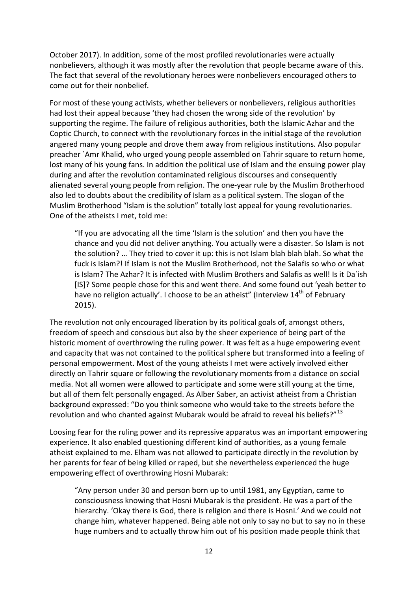October 2017). In addition, some of the most profiled revolutionaries were actually nonbelievers, although it was mostly after the revolution that people became aware of this. The fact that several of the revolutionary heroes were nonbelievers encouraged others to come out for their nonbelief.

For most of these young activists, whether believers or nonbelievers, religious authorities had lost their appeal because 'they had chosen the wrong side of the revolution' by supporting the regime. The failure of religious authorities, both the Islamic Azhar and the Coptic Church, to connect with the revolutionary forces in the initial stage of the revolution angered many young people and drove them away from religious institutions. Also popular preacher `Amr Khalid, who urged young people assembled on Tahrir square to return home, lost many of his young fans. In addition the political use of Islam and the ensuing power play during and after the revolution contaminated religious discourses and consequently alienated several young people from religion. The one-year rule by the Muslim Brotherhood also led to doubts about the credibility of Islam as a political system. The slogan of the Muslim Brotherhood "Islam is the solution" totally lost appeal for young revolutionaries. One of the atheists I met, told me:

"If you are advocating all the time 'Islam is the solution' and then you have the chance and you did not deliver anything. You actually were a disaster. So Islam is not the solution? … They tried to cover it up: this is not Islam blah blah blah. So what the fuck is Islam?! If Islam is not the Muslim Brotherhood, not the Salafis so who or what is Islam? The Azhar? It is infected with Muslim Brothers and Salafis as well! Is it Da`ish [IS]? Some people chose for this and went there. And some found out 'yeah better to have no religion actually'. I choose to be an atheist" (Interview  $14<sup>th</sup>$  of February 2015).

The revolution not only encouraged liberation by its political goals of, amongst others, freedom of speech and conscious but also by the sheer experience of being part of the historic moment of overthrowing the ruling power. It was felt as a huge empowering event and capacity that was not contained to the political sphere but transformed into a feeling of personal empowerment. Most of the young atheists I met were actively involved either directly on Tahrir square or following the revolutionary moments from a distance on social media. Not all women were allowed to participate and some were still young at the time, but all of them felt personally engaged. As Alber Saber, an activist atheist from a Christian background expressed: "Do you think someone who would take to the streets before the revolution and who chanted against Mubarak would be afraid to reveal his beliefs?"<sup>[13](#page-34-8)</sup>

Loosing fear for the ruling power and its repressive apparatus was an important empowering experience. It also enabled questioning different kind of authorities, as a young female atheist explained to me. Elham was not allowed to participate directly in the revolution by her parents for fear of being killed or raped, but she nevertheless experienced the huge empowering effect of overthrowing Hosni Mubarak:

"Any person under 30 and person born up to until 1981, any Egyptian, came to consciousness knowing that Hosni Mubarak is the president. He was a part of the hierarchy. 'Okay there is God, there is religion and there is Hosni.' And we could not change him, whatever happened. Being able not only to say no but to say no in these huge numbers and to actually throw him out of his position made people think that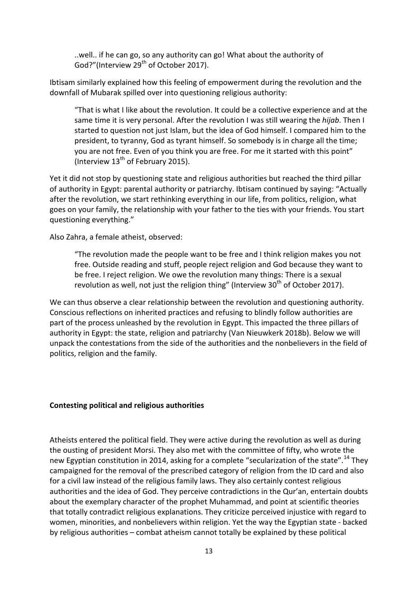..well.. if he can go, so any authority can go! What about the authority of God?"(Interview 29<sup>th</sup> of October 2017).

Ibtisam similarly explained how this feeling of empowerment during the revolution and the downfall of Mubarak spilled over into questioning religious authority:

"That is what I like about the revolution. It could be a collective experience and at the same time it is very personal. After the revolution I was still wearing the *hijab*. Then I started to question not just Islam, but the idea of God himself. I compared him to the president, to tyranny, God as tyrant himself. So somebody is in charge all the time; you are not free. Even of you think you are free. For me it started with this point" (Interview  $13<sup>th</sup>$  of February 2015).

Yet it did not stop by questioning state and religious authorities but reached the third pillar of authority in Egypt: parental authority or patriarchy. Ibtisam continued by saying: "Actually after the revolution, we start rethinking everything in our life, from politics, religion, what goes on your family, the relationship with your father to the ties with your friends. You start questioning everything."

Also Zahra, a female atheist, observed:

"The revolution made the people want to be free and I think religion makes you not free. Outside reading and stuff, people reject religion and God because they want to be free. I reject religion. We owe the revolution many things: There is a sexual revolution as well, not just the religion thing" (Interview  $30<sup>th</sup>$  of October 2017).

We can thus observe a clear relationship between the revolution and questioning authority. Conscious reflections on inherited practices and refusing to blindly follow authorities are part of the process unleashed by the revolution in Egypt. This impacted the three pillars of authority in Egypt: the state, religion and patriarchy (Van Nieuwkerk 2018b). Below we will unpack the contestations from the side of the authorities and the nonbelievers in the field of politics, religion and the family.

### **Contesting political and religious authorities**

Atheists entered the political field. They were active during the revolution as well as during the ousting of president Morsi. They also met with the committee of fifty, who wrote the new Egyptian constitution in 20[14](#page-34-9), asking for a complete "secularization of the state".<sup>14</sup> They campaigned for the removal of the prescribed category of religion from the ID card and also for a civil law instead of the religious family laws. They also certainly contest religious authorities and the idea of God. They perceive contradictions in the Qur'an, entertain doubts about the exemplary character of the prophet Muhammad, and point at scientific theories that totally contradict religious explanations. They criticize perceived injustice with regard to women, minorities, and nonbelievers within religion. Yet the way the Egyptian state - backed by religious authorities – combat atheism cannot totally be explained by these political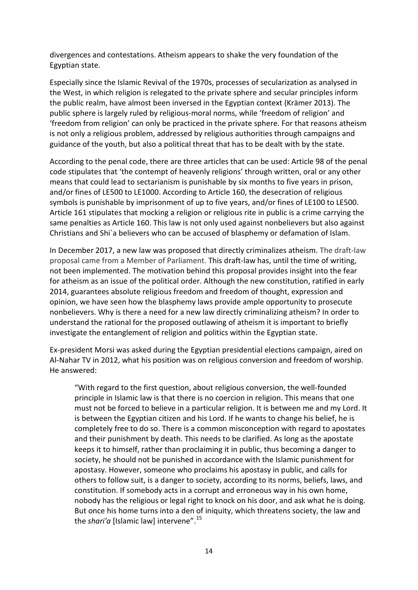divergences and contestations. Atheism appears to shake the very foundation of the Egyptian state.

Especially since the Islamic Revival of the 1970s, processes of secularization as analysed in the West, in which religion is relegated to the private sphere and secular principles inform the public realm, have almost been inversed in the Egyptian context (Krämer 2013). The public sphere is largely ruled by religious-moral norms, while 'freedom of religion' and 'freedom from religion' can only be practiced in the private sphere. For that reasons atheism is not only a religious problem, addressed by religious authorities through campaigns and guidance of the youth, but also a political threat that has to be dealt with by the state.

According to the penal code, there are three articles that can be used: Article 98 of the penal code stipulates that 'the contempt of heavenly religions' through written, oral or any other means that could lead to sectarianism is punishable by six months to five years in prison, and/or fines of LE500 to LE1000. According to Article 160, the desecration of religious symbols is punishable by imprisonment of up to five years, and/or fines of LE100 to LE500. Article 161 stipulates that mocking a religion or religious rite in public is a crime carrying the same penalties as Article 160. This law is not only used against nonbelievers but also against Christians and Shi`a believers who can be accused of blasphemy or defamation of Islam.

In December 2017, a new law was proposed that directly criminalizes atheism. The draft-law proposal came from a Member of Parliament. This draft-law has, until the time of writing, not been implemented. The motivation behind this proposal provides insight into the fear for atheism as an issue of the political order. Although the new constitution, ratified in early 2014, guarantees absolute religious freedom and freedom of thought, expression and opinion, we have seen how the blasphemy laws provide ample opportunity to prosecute nonbelievers. Why is there a need for a new law directly criminalizing atheism? In order to understand the rational for the proposed outlawing of atheism it is important to briefly investigate the entanglement of religion and politics within the Egyptian state.

Ex-president Morsi was asked during the Egyptian presidential elections campaign, aired on Al-Nahar TV in 2012, what his position was on religious conversion and freedom of worship. He answered:

"With regard to the first question, about religious conversion, the well-founded principle in Islamic law is that there is no coercion in religion. This means that one must not be forced to believe in a particular religion. It is between me and my Lord. It is between the Egyptian citizen and his Lord. If he wants to change his belief, he is completely free to do so. There is a common misconception with regard to apostates and their punishment by death. This needs to be clarified. As long as the apostate keeps it to himself, rather than proclaiming it in public, thus becoming a danger to society, he should not be punished in accordance with the Islamic punishment for apostasy. However, someone who proclaims his apostasy in public, and calls for others to follow suit, is a danger to society, according to its norms, beliefs, laws, and constitution. If somebody acts in a corrupt and erroneous way in his own home, nobody has the religious or legal right to knock on his door, and ask what he is doing. But once his home turns into a den of iniquity, which threatens society, the law and the *shari'a* [Islamic law] intervene".<sup>[15](#page-34-10)</sup>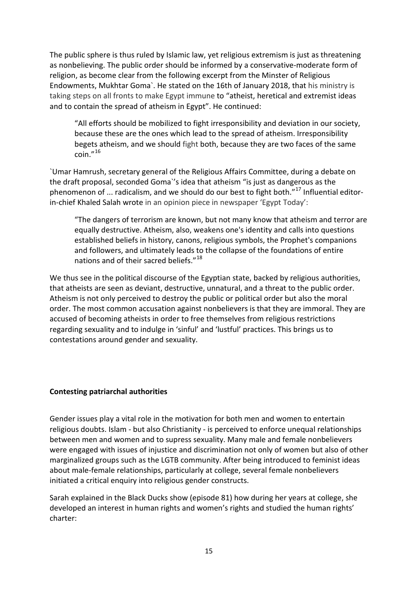The public sphere is thus ruled by Islamic law, yet religious extremism is just as threatening as nonbelieving. The public order should be informed by a conservative-moderate form of religion, as become clear from the following excerpt from the Minster of Religious Endowments, Mukhtar Goma`. He stated on the 16th of January 2018, that his ministry is taking steps on all fronts to make Egypt immune to "atheist, heretical and extremist ideas and to contain the spread of atheism in Egypt". He continued:

"All efforts should be mobilized to fight irresponsibility and deviation in our society, because these are the ones which lead to the spread of atheism. Irresponsibility begets atheism, and we should fight both, because they are two faces of the same coin."[16](#page-34-11)

`Umar Hamrush, secretary general of the Religious Affairs Committee, during a debate on the draft proposal, seconded Goma`'s idea that atheism "is just as dangerous as the phenomenon of ... radicalism, and we should do our best to fight both." $^{17}$  $^{17}$  $^{17}$  Influential editorin-chief Khaled Salah wrote in an opinion piece in newspaper 'Egypt Today':

"The dangers of terrorism are known, but not many know that atheism and terror are equally destructive. Atheism, also, weakens one's identity and calls into questions established beliefs in history, canons, religious symbols, the Prophet's companions and followers, and ultimately leads to the collapse of the foundations of entire nations and of their sacred beliefs."<sup>[18](#page-34-13)</sup>

We thus see in the political discourse of the Egyptian state, backed by religious authorities, that atheists are seen as deviant, destructive, unnatural, and a threat to the public order. Atheism is not only perceived to destroy the public or political order but also the moral order. The most common accusation against nonbelievers is that they are immoral. They are accused of becoming atheists in order to free themselves from religious restrictions regarding sexuality and to indulge in 'sinful' and 'lustful' practices. This brings us to contestations around gender and sexuality.

### **Contesting patriarchal authorities**

Gender issues play a vital role in the motivation for both men and women to entertain religious doubts. Islam - but also Christianity - is perceived to enforce unequal relationships between men and women and to supress sexuality. Many male and female nonbelievers were engaged with issues of injustice and discrimination not only of women but also of other marginalized groups such as the LGTB community. After being introduced to feminist ideas about male-female relationships, particularly at college, several female nonbelievers initiated a critical enquiry into religious gender constructs.

Sarah explained in the Black Ducks show (episode 81) how during her years at college, she developed an interest in human rights and women's rights and studied the human rights' charter: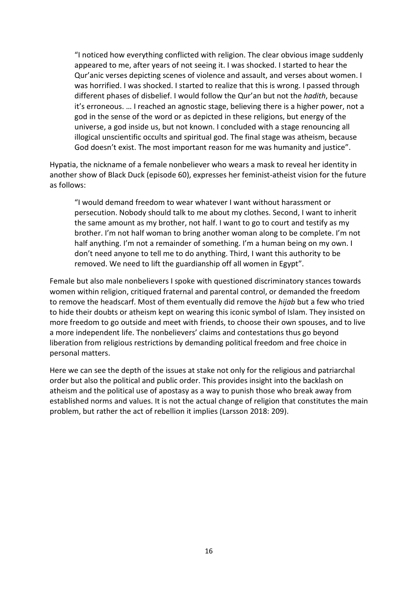"I noticed how everything conflicted with religion. The clear obvious image suddenly appeared to me, after years of not seeing it. I was shocked. I started to hear the Qur'anic verses depicting scenes of violence and assault, and verses about women. I was horrified. I was shocked. I started to realize that this is wrong. I passed through different phases of disbelief. I would follow the Qur'an but not the *hadith*, because it's erroneous. … I reached an agnostic stage, believing there is a higher power, not a god in the sense of the word or as depicted in these religions, but energy of the universe, a god inside us, but not known. I concluded with a stage renouncing all illogical unscientific occults and spiritual god. The final stage was atheism, because God doesn't exist. The most important reason for me was humanity and justice".

Hypatia, the nickname of a female nonbeliever who wears a mask to reveal her identity in another show of Black Duck (episode 60), expresses her feminist-atheist vision for the future as follows:

"I would demand freedom to wear whatever I want without harassment or persecution. Nobody should talk to me about my clothes. Second, I want to inherit the same amount as my brother, not half. I want to go to court and testify as my brother. I'm not half woman to bring another woman along to be complete. I'm not half anything. I'm not a remainder of something. I'm a human being on my own. I don't need anyone to tell me to do anything. Third, I want this authority to be removed. We need to lift the guardianship off all women in Egypt".

Female but also male nonbelievers I spoke with questioned discriminatory stances towards women within religion, critiqued fraternal and parental control, or demanded the freedom to remove the headscarf. Most of them eventually did remove the *hijab* but a few who tried to hide their doubts or atheism kept on wearing this iconic symbol of Islam. They insisted on more freedom to go outside and meet with friends, to choose their own spouses, and to live a more independent life. The nonbelievers' claims and contestations thus go beyond liberation from religious restrictions by demanding political freedom and free choice in personal matters.

Here we can see the depth of the issues at stake not only for the religious and patriarchal order but also the political and public order. This provides insight into the backlash on atheism and the political use of apostasy as a way to punish those who break away from established norms and values. It is not the actual change of religion that constitutes the main problem, but rather the act of rebellion it implies (Larsson 2018: 209).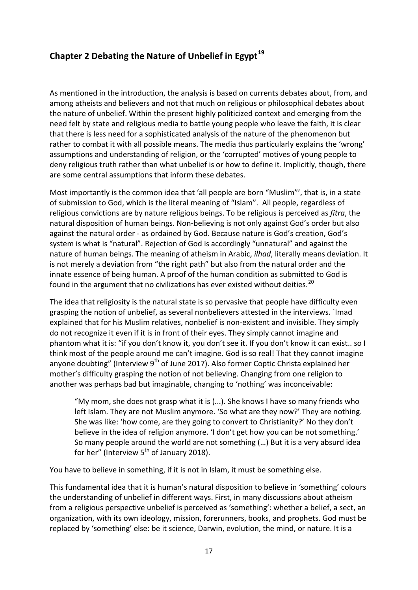# **Chapter 2 Debating the Nature of Unbelief in Egypt[19](#page-34-14)**

As mentioned in the introduction, the analysis is based on currents debates about, from, and among atheists and believers and not that much on religious or philosophical debates about the nature of unbelief. Within the present highly politicized context and emerging from the need felt by state and religious media to battle young people who leave the faith, it is clear that there is less need for a sophisticated analysis of the nature of the phenomenon but rather to combat it with all possible means. The media thus particularly explains the 'wrong' assumptions and understanding of religion, or the 'corrupted' motives of young people to deny religious truth rather than what unbelief is or how to define it. Implicitly, though, there are some central assumptions that inform these debates.

Most importantly is the common idea that 'all people are born "Muslim"', that is, in a state of submission to God, which is the literal meaning of "Islam". All people, regardless of religious convictions are by nature religious beings. To be religious is perceived as *fitra*, the natural disposition of human beings. Non-believing is not only against God's order but also against the natural order - as ordained by God. Because nature is God's creation, God's system is what is "natural". Rejection of God is accordingly "unnatural" and against the nature of human beings. The meaning of atheism in Arabic, *ilhad*, literally means deviation. It is not merely a deviation from "the right path" but also from the natural order and the innate essence of being human. A proof of the human condition as submitted to God is found in the argument that no civilizations has ever existed without deities.<sup>[20](#page-34-15)</sup>

The idea that religiosity is the natural state is so pervasive that people have difficulty even grasping the notion of unbelief, as several nonbelievers attested in the interviews. `Imad explained that for his Muslim relatives, nonbelief is non-existent and invisible. They simply do not recognize it even if it is in front of their eyes. They simply cannot imagine and phantom what it is: "if you don't know it, you don't see it. If you don't know it can exist.. so I think most of the people around me can't imagine. God is so real! That they cannot imagine anyone doubting" (Interview  $9<sup>th</sup>$  of June 2017). Also former Coptic Christa explained her mother's difficulty grasping the notion of not believing. Changing from one religion to another was perhaps bad but imaginable, changing to 'nothing' was inconceivable:

"My mom, she does not grasp what it is (...). She knows I have so many friends who left Islam. They are not Muslim anymore. 'So what are they now?' They are nothing. She was like: 'how come, are they going to convert to Christianity?' No they don't believe in the idea of religion anymore. 'I don't get how you can be not something.' So many people around the world are not something (…) But it is a very absurd idea for her" (Interview  $5<sup>th</sup>$  of January 2018).

You have to believe in something, if it is not in Islam, it must be something else.

This fundamental idea that it is human's natural disposition to believe in 'something' colours the understanding of unbelief in different ways. First, in many discussions about atheism from a religious perspective unbelief is perceived as 'something': whether a belief, a sect, an organization, with its own ideology, mission, forerunners, books, and prophets. God must be replaced by 'something' else: be it science, Darwin, evolution, the mind, or nature. It is a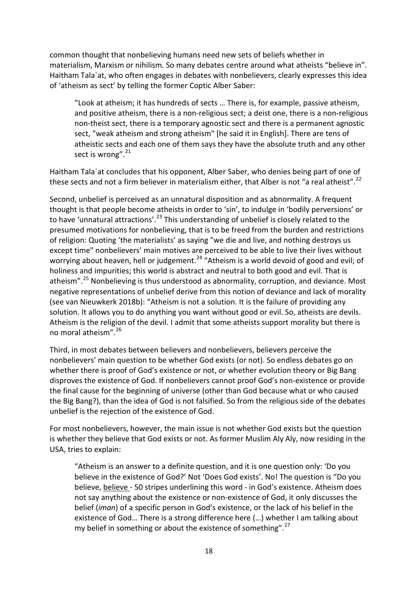common thought that nonbelieving humans need new sets of beliefs whether in materialism, Marxism or nihilism. So many debates centre around what atheists "believe in". Haitham Tala`at, who often engages in debates with nonbelievers, clearly expresses this idea of 'atheism as sect' by telling the former Coptic Alber Saber:

"Look at atheism; it has hundreds of sects … There is, for example, passive atheism, and positive atheism, there is a non-religious sect; a deist one, there is a non-religious non-theist sect, there is a temporary agnostic sect and there is a permanent agnostic sect, "weak atheism and strong atheism" [he said it in English]. There are tens of atheistic sects and each one of them says they have the absolute truth and any other sect is wrong". $^{21}$  $^{21}$  $^{21}$ 

Haitham Tala`at concludes that his opponent, Alber Saber, who denies being part of one of these sects and not a firm believer in materialism either, that Alber is not "a real atheist".<sup>[22](#page-34-17)</sup>

Second, unbelief is perceived as an unnatural disposition and as abnormality. A frequent thought is that people become atheists in order to 'sin', to indulge in 'bodily perversions' or to have 'unnatural attractions'.<sup>[23](#page-34-18)</sup> This understanding of unbelief is closely related to the presumed motivations for nonbelieving, that is to be freed from the burden and restrictions of religion: Quoting 'the materialists' as saying "we die and live, and nothing destroys us except time" nonbelievers' main motives are perceived to be able to live their lives without worrying about heaven, hell or judgement.<sup>[24](#page-34-19)</sup> "Atheism is a world devoid of good and evil; of holiness and impurities; this world is abstract and neutral to both good and evil. That is atheism".<sup>[25](#page-34-20)</sup> Nonbelieving is thus understood as abnormality, corruption, and deviance. Most negative representations of unbelief derive from this notion of deviance and lack of morality (see van Nieuwkerk 2018b): "Atheism is not a solution. It is the failure of providing any solution. It allows you to do anything you want without good or evil. So, atheists are devils. Atheism is the religion of the devil. I admit that some atheists support morality but there is no moral atheism".[26](#page-34-21)

Third, in most debates between believers and nonbelievers, believers perceive the nonbelievers' main question to be whether God exists (or not). So endless debates go on whether there is proof of God's existence or not, or whether evolution theory or Big Bang disproves the existence of God. If nonbelievers cannot proof God's non-existence or provide the final cause for the beginning of universe (other than God because what or who caused the Big Bang?), than the idea of God is not falsified. So from the religious side of the debates unbelief is the rejection of the existence of God.

For most nonbelievers, however, the main issue is not whether God exists but the question is whether they believe that God exists or not. As former Muslim Aly Aly, now residing in the USA, tries to explain:

"Atheism is an answer to a definite question, and it is one question only: 'Do you believe in the existence of God?' Not 'Does God exists'. No! The question is "Do you believe, believe - 50 stripes underlining this word - in God's existence. Atheism does not say anything about the existence or non-existence of God, it only discusses the belief (*iman*) of a specific person in God's existence, or the lack of his belief in the existence of God… There is a strong difference here (…) whether I am talking about my belief in something or about the existence of something".<sup>[27](#page-34-22)</sup>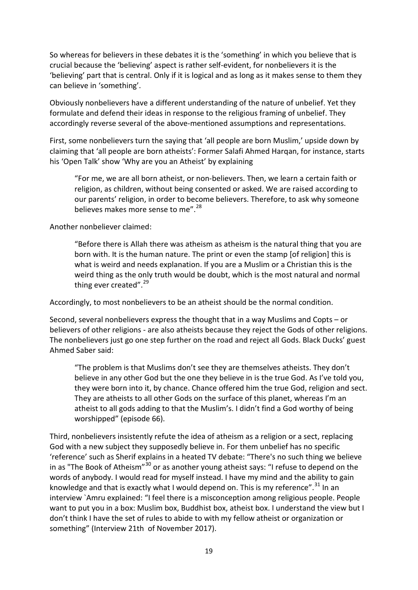So whereas for believers in these debates it is the 'something' in which you believe that is crucial because the 'believing' aspect is rather self-evident, for nonbelievers it is the 'believing' part that is central. Only if it is logical and as long as it makes sense to them they can believe in 'something'.

Obviously nonbelievers have a different understanding of the nature of unbelief. Yet they formulate and defend their ideas in response to the religious framing of unbelief. They accordingly reverse several of the above-mentioned assumptions and representations.

First, some nonbelievers turn the saying that 'all people are born Muslim,' upside down by claiming that 'all people are born atheists': Former Salafi Ahmed Harqan, for instance, starts his 'Open Talk' show 'Why are you an Atheist' by explaining

"For me, we are all born atheist, or non-believers. Then, we learn a certain faith or religion, as children, without being consented or asked. We are raised according to our parents' religion, in order to become believers. Therefore, to ask why someone believes makes more sense to me".<sup>[28](#page-34-23)</sup>

Another nonbeliever claimed:

"Before there is Allah there was atheism as atheism is the natural thing that you are born with. It is the human nature. The print or even the stamp [of religion] this is what is weird and needs explanation. If you are a Muslim or a Christian this is the weird thing as the only truth would be doubt, which is the most natural and normal thing ever created". $^{29}$  $^{29}$  $^{29}$ 

Accordingly, to most nonbelievers to be an atheist should be the normal condition.

Second, several nonbelievers express the thought that in a way Muslims and Copts – or believers of other religions - are also atheists because they reject the Gods of other religions. The nonbelievers just go one step further on the road and reject all Gods. Black Ducks' guest Ahmed Saber said:

"The problem is that Muslims don't see they are themselves atheists. They don't believe in any other God but the one they believe in is the true God. As I've told you, they were born into it, by chance. Chance offered him the true God, religion and sect. They are atheists to all other Gods on the surface of this planet, whereas I'm an atheist to all gods adding to that the Muslim's. I didn't find a God worthy of being worshipped" (episode 66).

Third, nonbelievers insistently refute the idea of atheism as a religion or a sect, replacing God with a new subject they supposedly believe in. For them unbelief has no specific 'reference' such as Sherif explains in a heated TV debate: "There's no such thing we believe in as "The Book of Atheism"<sup>[30](#page-34-25)</sup> or as another young atheist says: "I refuse to depend on the words of anybody. I would read for myself instead. I have my mind and the ability to gain knowledge and that is exactly what I would depend on. This is my reference".<sup>[31](#page-34-26)</sup> In an interview `Amru explained: "I feel there is a misconception among religious people. People want to put you in a box: Muslim box, Buddhist box, atheist box. I understand the view but I don't think I have the set of rules to abide to with my fellow atheist or organization or something" (Interview 21th of November 2017).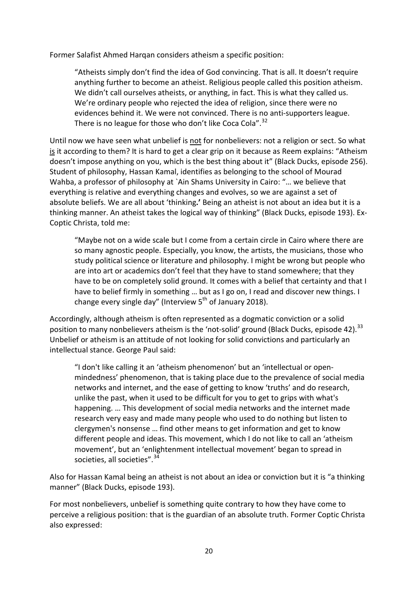Former Salafist Ahmed Harqan considers atheism a specific position:

"Atheists simply don't find the idea of God convincing. That is all. It doesn't require anything further to become an atheist. Religious people called this position atheism. We didn't call ourselves atheists, or anything, in fact. This is what they called us. We're ordinary people who rejected the idea of religion, since there were no evidences behind it. We were not convinced. There is no anti-supporters league. There is no league for those who don't like Coca Cola".<sup>[32](#page-34-27)</sup>

Until now we have seen what unbelief is not for nonbelievers: not a religion or sect. So what is it according to them? It is hard to get a clear grip on it because as Reem explains: "Atheism doesn't impose anything on you, which is the best thing about it" (Black Ducks, episode 256). Student of philosophy, Hassan Kamal, identifies as belonging to the school of Mourad Wahba, a professor of philosophy at `Ain Shams University in Cairo: "… we believe that everything is relative and everything changes and evolves, so we are against a set of absolute beliefs. We are all about 'thinking**.'** Being an atheist is not about an idea but it is a thinking manner. An atheist takes the logical way of thinking" (Black Ducks, episode 193). Ex-Coptic Christa, told me:

"Maybe not on a wide scale but I come from a certain circle in Cairo where there are so many agnostic people. Especially, you know, the artists, the musicians, those who study political science or literature and philosophy. I might be wrong but people who are into art or academics don't feel that they have to stand somewhere; that they have to be on completely solid ground. It comes with a belief that certainty and that I have to belief firmly in something … but as I go on, I read and discover new things. I change every single day" (Interview  $5<sup>th</sup>$  of January 2018).

Accordingly, although atheism is often represented as a dogmatic conviction or a solid position to many nonbelievers atheism is the 'not-solid' ground (Black Ducks, episode 42).<sup>[33](#page-34-28)</sup> Unbelief or atheism is an attitude of not looking for solid convictions and particularly an intellectual stance. George Paul said:

"I don't like calling it an 'atheism phenomenon' but an 'intellectual or openmindedness' phenomenon, that is taking place due to the prevalence of social media networks and internet, and the ease of getting to know 'truths' and do research, unlike the past, when it used to be difficult for you to get to grips with what's happening. … This development of social media networks and the internet made research very easy and made many people who used to do nothing but listen to clergymen's nonsense … find other means to get information and get to know different people and ideas. This movement, which I do not like to call an 'atheism movement', but an 'enlightenment intellectual movement' began to spread in societies, all societies".<sup>[34](#page-34-29)</sup>

Also for Hassan Kamal being an atheist is not about an idea or conviction but it is "a thinking manner" (Black Ducks, episode 193).

For most nonbelievers, unbelief is something quite contrary to how they have come to perceive a religious position: that is the guardian of an absolute truth. Former Coptic Christa also expressed: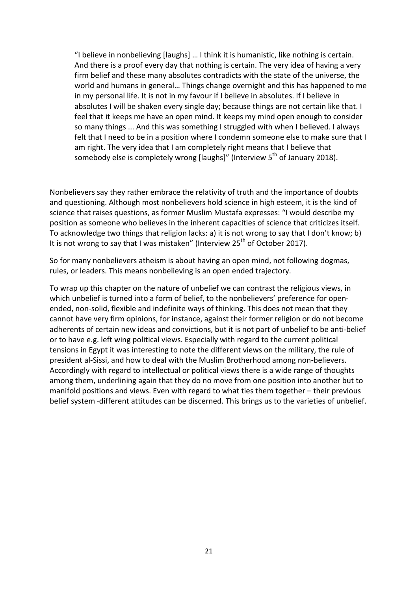"I believe in nonbelieving [laughs] … I think it is humanistic, like nothing is certain. And there is a proof every day that nothing is certain. The very idea of having a very firm belief and these many absolutes contradicts with the state of the universe, the world and humans in general… Things change overnight and this has happened to me in my personal life. It is not in my favour if I believe in absolutes. If I believe in absolutes I will be shaken every single day; because things are not certain like that. I feel that it keeps me have an open mind. It keeps my mind open enough to consider so many things ... And this was something I struggled with when I believed. I always felt that I need to be in a position where I condemn someone else to make sure that I am right. The very idea that I am completely right means that I believe that somebody else is completely wrong [laughs]" (Interview  $5<sup>th</sup>$  of January 2018).

Nonbelievers say they rather embrace the relativity of truth and the importance of doubts and questioning. Although most nonbelievers hold science in high esteem, it is the kind of science that raises questions, as former Muslim Mustafa expresses: "I would describe my position as someone who believes in the inherent capacities of science that criticizes itself. To acknowledge two things that religion lacks: a) it is not wrong to say that I don't know; b) It is not wrong to say that I was mistaken" (Interview  $25<sup>th</sup>$  of October 2017).

So for many nonbelievers atheism is about having an open mind, not following dogmas, rules, or leaders. This means nonbelieving is an open ended trajectory.

To wrap up this chapter on the nature of unbelief we can contrast the religious views, in which unbelief is turned into a form of belief, to the nonbelievers' preference for openended, non-solid, flexible and indefinite ways of thinking. This does not mean that they cannot have very firm opinions, for instance, against their former religion or do not become adherents of certain new ideas and convictions, but it is not part of unbelief to be anti-belief or to have e.g. left wing political views. Especially with regard to the current political tensions in Egypt it was interesting to note the different views on the military, the rule of president al-Sissi, and how to deal with the Muslim Brotherhood among non-believers. Accordingly with regard to intellectual or political views there is a wide range of thoughts among them, underlining again that they do no move from one position into another but to manifold positions and views. Even with regard to what ties them together – their previous belief system -different attitudes can be discerned. This brings us to the varieties of unbelief.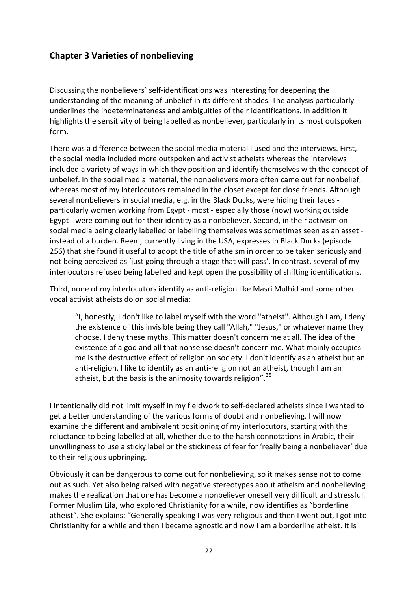# **Chapter 3 Varieties of nonbelieving**

Discussing the nonbelievers` self-identifications was interesting for deepening the understanding of the meaning of unbelief in its different shades. The analysis particularly underlines the indeterminateness and ambiguities of their identifications. In addition it highlights the sensitivity of being labelled as nonbeliever, particularly in its most outspoken form.

There was a difference between the social media material I used and the interviews. First, the social media included more outspoken and activist atheists whereas the interviews included a variety of ways in which they position and identify themselves with the concept of unbelief. In the social media material, the nonbelievers more often came out for nonbelief, whereas most of my interlocutors remained in the closet except for close friends. Although several nonbelievers in social media, e.g. in the Black Ducks, were hiding their faces particularly women working from Egypt - most - especially those (now) working outside Egypt - were coming out for their identity as a nonbeliever. Second, in their activism on social media being clearly labelled or labelling themselves was sometimes seen as an asset instead of a burden. Reem, currently living in the USA, expresses in Black Ducks (episode 256) that she found it useful to adopt the title of atheism in order to be taken seriously and not being perceived as 'just going through a stage that will pass'. In contrast, several of my interlocutors refused being labelled and kept open the possibility of shifting identifications.

Third, none of my interlocutors identify as anti-religion like Masri Mulhid and some other vocal activist atheists do on social media:

"I, honestly, I don't like to label myself with the word "atheist". Although I am, I deny the existence of this invisible being they call "Allah," "Jesus," or whatever name they choose. I deny these myths. This matter doesn't concern me at all. The idea of the existence of a god and all that nonsense doesn't concern me. What mainly occupies me is the destructive effect of religion on society. I don't identify as an atheist but an anti-religion. I like to identify as an anti-religion not an atheist, though I am an atheist, but the basis is the animosity towards religion".<sup>[35](#page-34-0)</sup>

I intentionally did not limit myself in my fieldwork to self-declared atheists since I wanted to get a better understanding of the various forms of doubt and nonbelieving. I will now examine the different and ambivalent positioning of my interlocutors, starting with the reluctance to being labelled at all, whether due to the harsh connotations in Arabic, their unwillingness to use a sticky label or the stickiness of fear for 'really being a nonbeliever' due to their religious upbringing.

Obviously it can be dangerous to come out for nonbelieving, so it makes sense not to come out as such. Yet also being raised with negative stereotypes about atheism and nonbelieving makes the realization that one has become a nonbeliever oneself very difficult and stressful. Former Muslim Lila, who explored Christianity for a while, now identifies as "borderline atheist". She explains: "Generally speaking I was very religious and then I went out, I got into Christianity for a while and then I became agnostic and now I am a borderline atheist. It is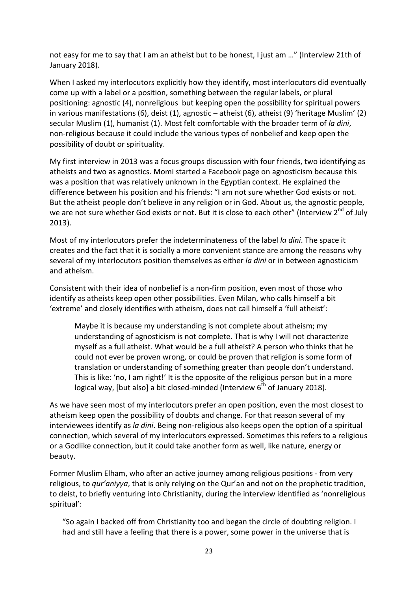not easy for me to say that I am an atheist but to be honest, I just am …" (Interview 21th of January 2018).

When I asked my interlocutors explicitly how they identify, most interlocutors did eventually come up with a label or a position, something between the regular labels, or plural positioning: agnostic (4), nonreligious but keeping open the possibility for spiritual powers in various manifestations (6), deist (1), agnostic – atheist (6), atheist (9) 'heritage Muslim' (2) secular Muslim (1), humanist (1). Most felt comfortable with the broader term of *la dini*, non-religious because it could include the various types of nonbelief and keep open the possibility of doubt or spirituality.

My first interview in 2013 was a focus groups discussion with four friends, two identifying as atheists and two as agnostics. Momi started a Facebook page on agnosticism because this was a position that was relatively unknown in the Egyptian context. He explained the difference between his position and his friends: "I am not sure whether God exists or not. But the atheist people don't believe in any religion or in God. About us, the agnostic people, we are not sure whether God exists or not. But it is close to each other" (Interview  $2^{nd}$  of July 2013).

Most of my interlocutors prefer the indeterminateness of the label *la dini*. The space it creates and the fact that it is socially a more convenient stance are among the reasons why several of my interlocutors position themselves as either *la dini* or in between agnosticism and atheism.

Consistent with their idea of nonbelief is a non-firm position, even most of those who identify as atheists keep open other possibilities. Even Milan, who calls himself a bit 'extreme' and closely identifies with atheism, does not call himself a 'full atheist':

Maybe it is because my understanding is not complete about atheism; my understanding of agnosticism is not complete. That is why I will not characterize myself as a full atheist. What would be a full atheist? A person who thinks that he could not ever be proven wrong, or could be proven that religion is some form of translation or understanding of something greater than people don't understand. This is like: 'no, I am right!' It is the opposite of the religious person but in a more logical way, [but also] a bit closed-minded (Interview  $6<sup>th</sup>$  of January 2018).

As we have seen most of my interlocutors prefer an open position, even the most closest to atheism keep open the possibility of doubts and change. For that reason several of my interviewees identify as *la dini*. Being non-religious also keeps open the option of a spiritual connection, which several of my interlocutors expressed. Sometimes this refers to a religious or a Godlike connection, but it could take another form as well, like nature, energy or beauty.

Former Muslim Elham, who after an active journey among religious positions - from very religious, to *qur'aniyya*, that is only relying on the Qur'an and not on the prophetic tradition, to deist, to briefly venturing into Christianity, during the interview identified as 'nonreligious spiritual':

"So again I backed off from Christianity too and began the circle of doubting religion. I had and still have a feeling that there is a power, some power in the universe that is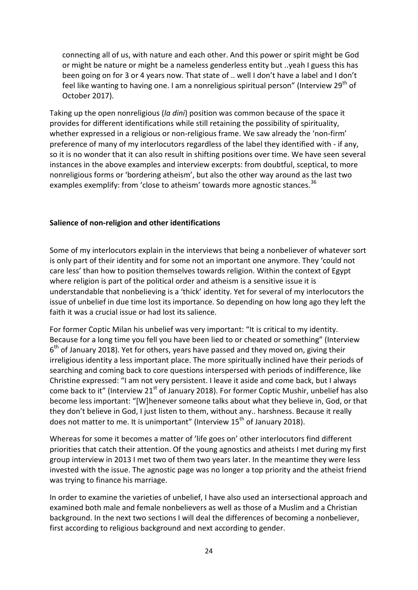connecting all of us, with nature and each other. And this power or spirit might be God or might be nature or might be a nameless genderless entity but ..yeah I guess this has been going on for 3 or 4 years now. That state of .. well I don't have a label and I don't feel like wanting to having one. I am a nonreligious spiritual person" (Interview 29<sup>th</sup> of October 2017).

Taking up the open nonreligious (*la dini*) position was common because of the space it provides for different identifications while still retaining the possibility of spirituality, whether expressed in a religious or non-religious frame. We saw already the 'non-firm' preference of many of my interlocutors regardless of the label they identified with - if any, so it is no wonder that it can also result in shifting positions over time. We have seen several instances in the above examples and interview excerpts: from doubtful, sceptical, to more nonreligious forms or 'bordering atheism', but also the other way around as the last two examples exemplify: from 'close to atheism' towards more agnostic stances.<sup>[36](#page-34-1)</sup>

### **Salience of non-religion and other identifications**

Some of my interlocutors explain in the interviews that being a nonbeliever of whatever sort is only part of their identity and for some not an important one anymore. They 'could not care less' than how to position themselves towards religion. Within the context of Egypt where religion is part of the political order and atheism is a sensitive issue it is understandable that nonbelieving is a 'thick' identity. Yet for several of my interlocutors the issue of unbelief in due time lost its importance. So depending on how long ago they left the faith it was a crucial issue or had lost its salience.

For former Coptic Milan his unbelief was very important: "It is critical to my identity. Because for a long time you fell you have been lied to or cheated or something" (Interview  $6<sup>th</sup>$  of January 2018). Yet for others, years have passed and they moved on, giving their irreligious identity a less important place. The more spiritually inclined have their periods of searching and coming back to core questions interspersed with periods of indifference, like Christine expressed: "I am not very persistent. I leave it aside and come back, but I always come back to it" (Interview 21<sup>st</sup> of January 2018). For former Coptic Mushir, unbelief has also become less important: "[W]henever someone talks about what they believe in, God, or that they don't believe in God, I just listen to them, without any.. harshness. Because it really does not matter to me. It is unimportant" (Interview 15<sup>th</sup> of January 2018).

Whereas for some it becomes a matter of 'life goes on' other interlocutors find different priorities that catch their attention. Of the young agnostics and atheists I met during my first group interview in 2013 I met two of them two years later. In the meantime they were less invested with the issue. The agnostic page was no longer a top priority and the atheist friend was trying to finance his marriage.

In order to examine the varieties of unbelief, I have also used an intersectional approach and examined both male and female nonbelievers as well as those of a Muslim and a Christian background. In the next two sections I will deal the differences of becoming a nonbeliever, first according to religious background and next according to gender.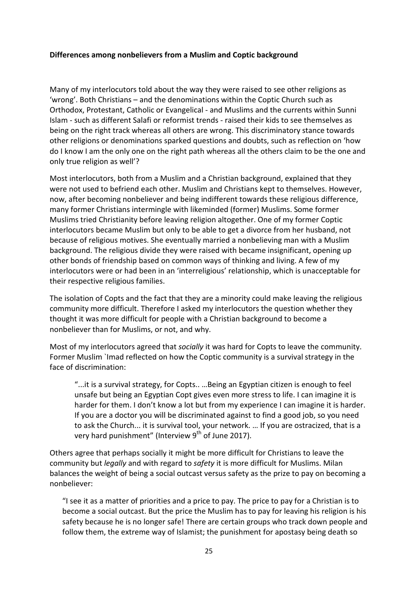### **Differences among nonbelievers from a Muslim and Coptic background**

Many of my interlocutors told about the way they were raised to see other religions as 'wrong'. Both Christians – and the denominations within the Coptic Church such as Orthodox, Protestant, Catholic or Evangelical - and Muslims and the currents within Sunni Islam - such as different Salafi or reformist trends - raised their kids to see themselves as being on the right track whereas all others are wrong. This discriminatory stance towards other religions or denominations sparked questions and doubts, such as reflection on 'how do I know I am the only one on the right path whereas all the others claim to be the one and only true religion as well'?

Most interlocutors, both from a Muslim and a Christian background, explained that they were not used to befriend each other. Muslim and Christians kept to themselves. However, now, after becoming nonbeliever and being indifferent towards these religious difference, many former Christians intermingle with likeminded (former) Muslims. Some former Muslims tried Christianity before leaving religion altogether. One of my former Coptic interlocutors became Muslim but only to be able to get a divorce from her husband, not because of religious motives. She eventually married a nonbelieving man with a Muslim background. The religious divide they were raised with became insignificant, opening up other bonds of friendship based on common ways of thinking and living. A few of my interlocutors were or had been in an 'interreligious' relationship, which is unacceptable for their respective religious families.

The isolation of Copts and the fact that they are a minority could make leaving the religious community more difficult. Therefore I asked my interlocutors the question whether they thought it was more difficult for people with a Christian background to become a nonbeliever than for Muslims, or not, and why.

Most of my interlocutors agreed that *socially* it was hard for Copts to leave the community. Former Muslim `Imad reflected on how the Coptic community is a survival strategy in the face of discrimination:

"...it is a survival strategy, for Copts.. …Being an Egyptian citizen is enough to feel unsafe but being an Egyptian Copt gives even more stress to life. I can imagine it is harder for them. I don't know a lot but from my experience I can imagine it is harder. If you are a doctor you will be discriminated against to find a good job, so you need to ask the Church... it is survival tool, your network. … If you are ostracized, that is a very hard punishment" (Interview  $9<sup>th</sup>$  of June 2017).

Others agree that perhaps socially it might be more difficult for Christians to leave the community but *legally* and with regard to *safety* it is more difficult for Muslims. Milan balances the weight of being a social outcast versus safety as the prize to pay on becoming a nonbeliever:

"I see it as a matter of priorities and a price to pay. The price to pay for a Christian is to become a social outcast. But the price the Muslim has to pay for leaving his religion is his safety because he is no longer safe! There are certain groups who track down people and follow them, the extreme way of Islamist; the punishment for apostasy being death so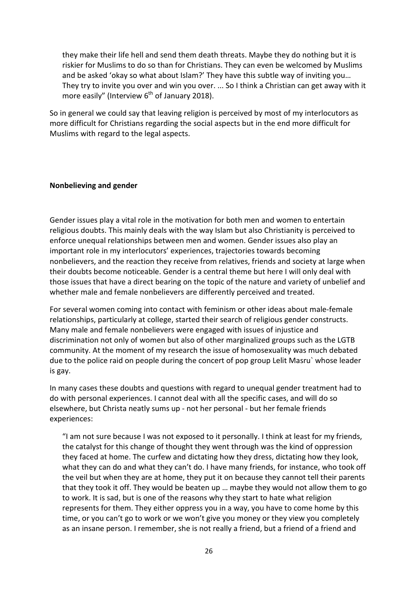they make their life hell and send them death threats. Maybe they do nothing but it is riskier for Muslims to do so than for Christians. They can even be welcomed by Muslims and be asked 'okay so what about Islam?' They have this subtle way of inviting you… They try to invite you over and win you over. ... So I think a Christian can get away with it more easily" (Interview  $6<sup>th</sup>$  of January 2018).

So in general we could say that leaving religion is perceived by most of my interlocutors as more difficult for Christians regarding the social aspects but in the end more difficult for Muslims with regard to the legal aspects.

### **Nonbelieving and gender**

Gender issues play a vital role in the motivation for both men and women to entertain religious doubts. This mainly deals with the way Islam but also Christianity is perceived to enforce unequal relationships between men and women. Gender issues also play an important role in my interlocutors' experiences, trajectories towards becoming nonbelievers, and the reaction they receive from relatives, friends and society at large when their doubts become noticeable. Gender is a central theme but here I will only deal with those issues that have a direct bearing on the topic of the nature and variety of unbelief and whether male and female nonbelievers are differently perceived and treated.

For several women coming into contact with feminism or other ideas about male-female relationships, particularly at college, started their search of religious gender constructs. Many male and female nonbelievers were engaged with issues of injustice and discrimination not only of women but also of other marginalized groups such as the LGTB community. At the moment of my research the issue of homosexuality was much debated due to the police raid on people during the concert of pop group Lelit Masru` whose leader is gay.

In many cases these doubts and questions with regard to unequal gender treatment had to do with personal experiences. I cannot deal with all the specific cases, and will do so elsewhere, but Christa neatly sums up - not her personal - but her female friends experiences:

"I am not sure because I was not exposed to it personally. I think at least for my friends, the catalyst for this change of thought they went through was the kind of oppression they faced at home. The curfew and dictating how they dress, dictating how they look, what they can do and what they can't do. I have many friends, for instance, who took off the veil but when they are at home, they put it on because they cannot tell their parents that they took it off. They would be beaten up … maybe they would not allow them to go to work. It is sad, but is one of the reasons why they start to hate what religion represents for them. They either oppress you in a way, you have to come home by this time, or you can't go to work or we won't give you money or they view you completely as an insane person. I remember, she is not really a friend, but a friend of a friend and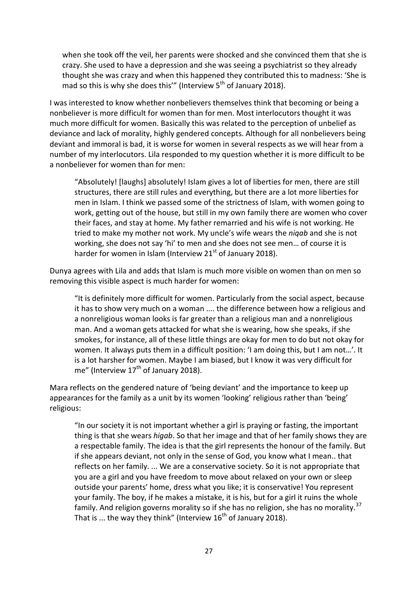when she took off the veil, her parents were shocked and she convinced them that she is crazy. She used to have a depression and she was seeing a psychiatrist so they already thought she was crazy and when this happened they contributed this to madness: 'She is mad so this is why she does this"" (Interview  $5<sup>th</sup>$  of January 2018).

I was interested to know whether nonbelievers themselves think that becoming or being a nonbeliever is more difficult for women than for men. Most interlocutors thought it was much more difficult for women. Basically this was related to the perception of unbelief as deviance and lack of morality, highly gendered concepts. Although for all nonbelievers being deviant and immoral is bad, it is worse for women in several respects as we will hear from a number of my interlocutors. Lila responded to my question whether it is more difficult to be a nonbeliever for women than for men:

"Absolutely! [laughs] absolutely! Islam gives a lot of liberties for men, there are still structures, there are still rules and everything, but there are a lot more liberties for men in Islam. I think we passed some of the strictness of Islam, with women going to work, getting out of the house, but still in my own family there are women who cover their faces, and stay at home. My father remarried and his wife is not working. He tried to make my mother not work. My uncle's wife wears the *niqab* and she is not working, she does not say 'hi' to men and she does not see men… of course it is harder for women in Islam (Interview  $21<sup>st</sup>$  of January 2018).

Dunya agrees with Lila and adds that Islam is much more visible on women than on men so removing this visible aspect is much harder for women:

"It is definitely more difficult for women. Particularly from the social aspect, because it has to show very much on a woman .... the difference between how a religious and a nonreligious woman looks is far greater than a religious man and a nonreligious man. And a woman gets attacked for what she is wearing, how she speaks, if she smokes, for instance, all of these little things are okay for men to do but not okay for women. It always puts them in a difficult position: 'I am doing this, but I am not…'. It is a lot harsher for women. Maybe I am biased, but I know it was very difficult for me" (Interview  $17<sup>th</sup>$  of January 2018).

Mara reflects on the gendered nature of 'being deviant' and the importance to keep up appearances for the family as a unit by its women 'looking' religious rather than 'being' religious:

"In our society it is not important whether a girl is praying or fasting, the important thing is that she wears *higab*. So that her image and that of her family shows they are a respectable family. The idea is that the girl represents the honour of the family. But if she appears deviant, not only in the sense of God, you know what I mean.. that reflects on her family. ... We are a conservative society. So it is not appropriate that you are a girl and you have freedom to move about relaxed on your own or sleep outside your parents' home, dress what you like; it is conservative! You represent your family. The boy, if he makes a mistake, it is his, but for a girl it ruins the whole family. And religion governs morality so if she has no religion, she has no morality.<sup>[37](#page-34-30)</sup> That is ... the way they think" (Interview  $16^{th}$  of January 2018).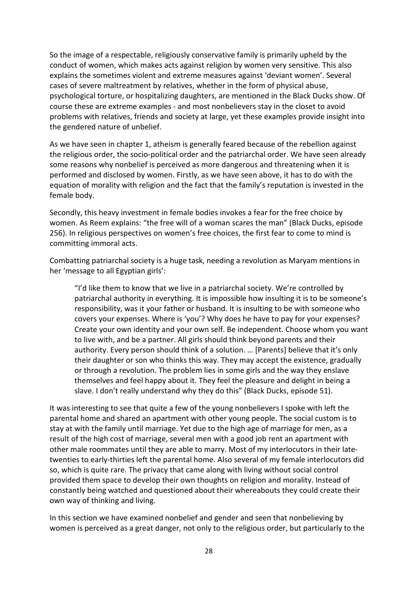So the image of a respectable, religiously conservative family is primarily upheld by the conduct of women, which makes acts against religion by women very sensitive. This also explains the sometimes violent and extreme measures against 'deviant women'. Several cases of severe maltreatment by relatives, whether in the form of physical abuse, psychological torture, or hospitalizing daughters, are mentioned in the Black Ducks show. Of course these are extreme examples - and most nonbelievers stay in the closet to avoid problems with relatives, friends and society at large, yet these examples provide insight into the gendered nature of unbelief.

As we have seen in chapter 1, atheism is generally feared because of the rebellion against the religious order, the socio-political order and the patriarchal order. We have seen already some reasons why nonbelief is perceived as more dangerous and threatening when it is performed and disclosed by women. Firstly, as we have seen above, it has to do with the equation of morality with religion and the fact that the family's reputation is invested in the female body.

Secondly, this heavy investment in female bodies invokes a fear for the free choice by women. As Reem explains: "the free will of a woman scares the man" (Black Ducks, episode 256). In religious perspectives on women's free choices, the first fear to come to mind is committing immoral acts.

Combatting patriarchal society is a huge task, needing a revolution as Maryam mentions in her 'message to all Egyptian girls':

"I'd like them to know that we live in a patriarchal society. We're controlled by patriarchal authority in everything. It is impossible how insulting it is to be someone's responsibility, was it your father or husband. It is insulting to be with someone who covers your expenses. Where is 'you'? Why does he have to pay for your expenses? Create your own identity and your own self. Be independent. Choose whom you want to live with, and be a partner. All girls should think beyond parents and their authority. Every person should think of a solution. … [Parents] believe that it's only their daughter or son who thinks this way. They may accept the existence, gradually or through a revolution. The problem lies in some girls and the way they enslave themselves and feel happy about it. They feel the pleasure and delight in being a slave. I don't really understand why they do this" (Black Ducks, episode 51).

It was interesting to see that quite a few of the young nonbelievers I spoke with left the parental home and shared an apartment with other young people. The social custom is to stay at with the family until marriage. Yet due to the high age of marriage for men, as a result of the high cost of marriage, several men with a good job rent an apartment with other male roommates until they are able to marry. Most of my interlocutors in their latetwenties to early-thirties left the parental home. Also several of my female interlocutors did so, which is quite rare. The privacy that came along with living without social control provided them space to develop their own thoughts on religion and morality. Instead of constantly being watched and questioned about their whereabouts they could create their own way of thinking and living.

In this section we have examined nonbelief and gender and seen that nonbelieving by women is perceived as a great danger, not only to the religious order, but particularly to the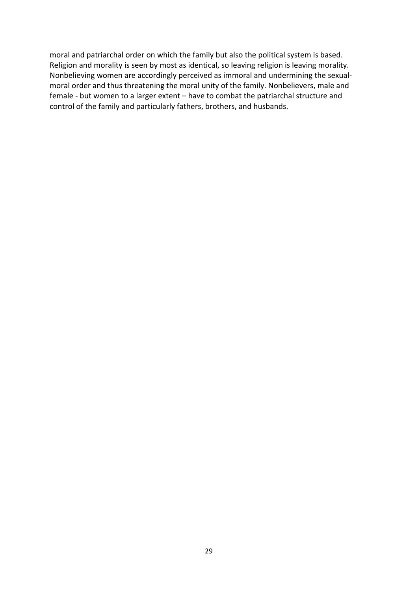moral and patriarchal order on which the family but also the political system is based. Religion and morality is seen by most as identical, so leaving religion is leaving morality. Nonbelieving women are accordingly perceived as immoral and undermining the sexualmoral order and thus threatening the moral unity of the family. Nonbelievers, male and female - but women to a larger extent – have to combat the patriarchal structure and control of the family and particularly fathers, brothers, and husbands.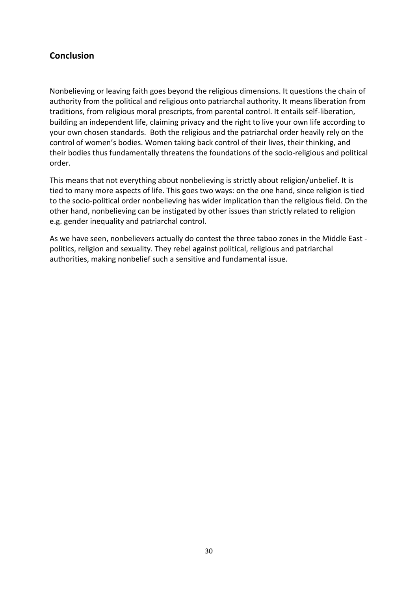## **Conclusion**

Nonbelieving or leaving faith goes beyond the religious dimensions. It questions the chain of authority from the political and religious onto patriarchal authority. It means liberation from traditions, from religious moral prescripts, from parental control. It entails self-liberation, building an independent life, claiming privacy and the right to live your own life according to your own chosen standards. Both the religious and the patriarchal order heavily rely on the control of women's bodies. Women taking back control of their lives, their thinking, and their bodies thus fundamentally threatens the foundations of the socio-religious and political order.

This means that not everything about nonbelieving is strictly about religion/unbelief. It is tied to many more aspects of life. This goes two ways: on the one hand, since religion is tied to the socio-political order nonbelieving has wider implication than the religious field. On the other hand, nonbelieving can be instigated by other issues than strictly related to religion e.g. gender inequality and patriarchal control.

As we have seen, nonbelievers actually do contest the three taboo zones in the Middle East politics, religion and sexuality. They rebel against political, religious and patriarchal authorities, making nonbelief such a sensitive and fundamental issue.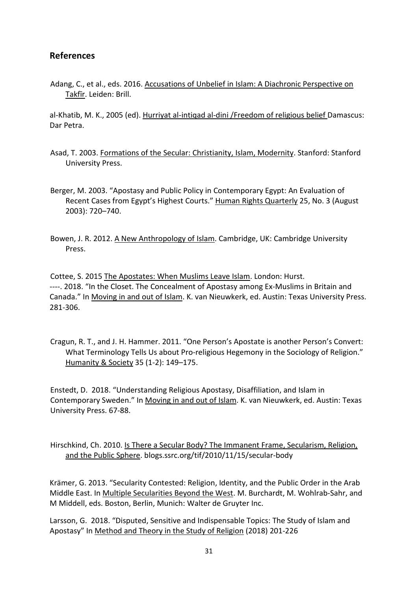## **References**

Adang, C., et al., eds. 2016. Accusations of Unbelief in Islam: A Diachronic Perspective on Takfīr. Leiden: Brill.

al-Khatib, M. K., 2005 (ed). Hurriyat al-intiqad al-dini /Freedom of religious belief Damascus: Dar Petra.

- Asad, T. 2003. Formations of the Secular: Christianity, Islam, Modernity. Stanford: Stanford University Press.
- Berger, M. 2003. "Apostasy and Public Policy in Contemporary Egypt: An Evaluation of Recent Cases from Egypt's Highest Courts." Human Rights Quarterly 25, No. 3 (August 2003): 720–740.
- Bowen, J. R. 2012. A New Anthropology of Islam. Cambridge, UK: Cambridge University Press.

Cottee, S. 2015 The Apostates: When Muslims Leave Islam. London: Hurst. ----. 2018. "In the Closet. The Concealment of Apostasy among Ex-Muslims in Britain and Canada." In Moving in and out of Islam. K. van Nieuwkerk, ed. Austin: Texas University Press. 281-306.

Cragun, R. T., and J. H. Hammer. 2011. "One Person's Apostate is another Person's Convert: What Terminology Tells Us about Pro-religious Hegemony in the Sociology of Religion." Humanity & Society 35 (1-2): 149–175.

Enstedt, D. 2018. "Understanding Religious Apostasy, Disaffiliation, and Islam in Contemporary Sweden." In Moving in and out of Islam. K. van Nieuwkerk, ed. Austin: Texas University Press. 67-88.

Hirschkind, Ch. 2010. Is There a Secular Body? The Immanent Frame, Secularism, Religion, and the Public Sphere. blogs.ssrc.org/tif/2010/11/15/secular-body

Krämer, G. 2013. "Secularity Contested: Religion, Identity, and the Public Order in the Arab Middle East. In Multiple Secularities Beyond the West. M. Burchardt, M. Wohlrab-Sahr, and M Middell, eds. Boston, Berlin, Munich: Walter de Gruyter Inc.

Larsson, G. 2018. "Disputed, Sensitive and Indispensable Topics: The Study of Islam and Apostasy" In Method and Theory in the Study of Religion (2018) 201-226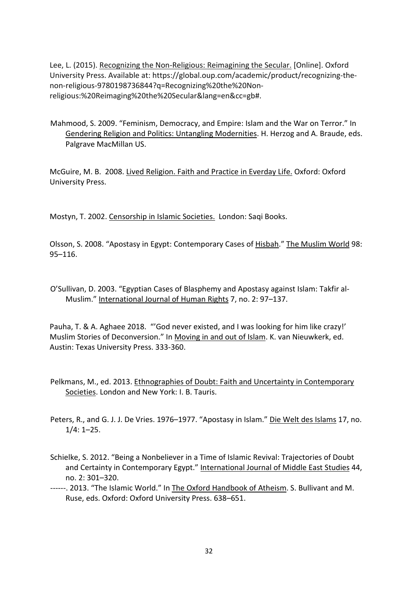Lee, L. (2015). Recognizing the Non-Religious: Reimagining the Secular. [Online]. Oxford University Press. Available at: https://global.oup.com/academic/product/recognizing-thenon-religious-9780198736844?q=Recognizing%20the%20Nonreligious:%20Reimaging%20the%20Secular&lang=en&cc=gb#.

Mahmood, S. 2009. "Feminism, Democracy, and Empire: Islam and the War on Terror." In Gendering Religion and Politics: Untangling Modernities. H. Herzog and A. Braude, eds. Palgrave MacMillan US.

McGuire, M. B. 2008. Lived Religion. Faith and Practice in Everday Life. Oxford: Oxford University Press.

Mostyn, T. 2002. Censorship in Islamic Societies. London: Saqi Books.

Olsson, S. 2008. "Apostasy in Egypt: Contemporary Cases of Hisbah." The Muslim World 98: 95–116.

O'Sullivan, D. 2003. "Egyptian Cases of Blasphemy and Apostasy against Islam: Takfir al-Muslim." International Journal of Human Rights 7, no. 2: 97–137.

Pauha, T. & A. Aghaee 2018. "'God never existed, and I was looking for him like crazy!' Muslim Stories of Deconversion." In Moving in and out of Islam. K. van Nieuwkerk, ed. Austin: Texas University Press. 333-360.

Pelkmans, M., ed. 2013. Ethnographies of Doubt: Faith and Uncertainty in Contemporary Societies. London and New York: I. B. Tauris.

Peters, R., and G. J. J. De Vries. 1976–1977. "Apostasy in Islam." Die Welt des Islams 17, no. 1/4: 1–25.

- Schielke, S. 2012. "Being a Nonbeliever in a Time of Islamic Revival: Trajectories of Doubt and Certainty in Contemporary Egypt." International Journal of Middle East Studies 44, no. 2: 301–320.
- ------. 2013. "The Islamic World." In The Oxford Handbook of Atheism. S. Bullivant and M. Ruse, eds. Oxford: Oxford University Press. 638–651.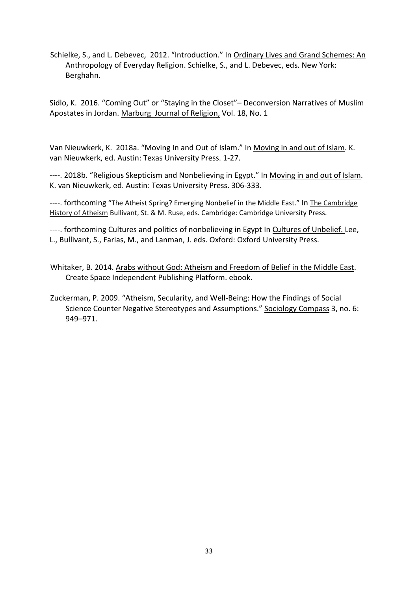Schielke, S., and L. Debevec, 2012. "Introduction." In Ordinary Lives and Grand Schemes: An Anthropology of Everyday Religion. Schielke, S., and L. Debevec, eds. New York: Berghahn.

Sidlo, K. 2016. "Coming Out" or "Staying in the Closet"– Deconversion Narratives of Muslim Apostates in Jordan. Marburg Journal of Religion, Vol. 18, No. 1

Van Nieuwkerk, K. 2018a. "Moving In and Out of Islam." In Moving in and out of Islam. K. van Nieuwkerk, ed. Austin: Texas University Press. 1-27.

----. 2018b. "Religious Skepticism and Nonbelieving in Egypt." In Moving in and out of Islam. K. van Nieuwkerk, ed. Austin: Texas University Press. 306-333.

----. forthcoming "The Atheist Spring? Emerging Nonbelief in the Middle East." In The Cambridge History of Atheism Bullivant, St. & M. Ruse, eds. Cambridge: Cambridge University Press.

----. forthcoming Cultures and politics of nonbelieving in Egypt In Cultures of Unbelief. Lee, L., Bullivant, S., Farias, M., and Lanman, J. eds. Oxford: Oxford University Press.

- Whitaker, B. 2014. Arabs without God: Atheism and Freedom of Belief in the Middle East. Create Space Independent Publishing Platform. ebook.
- Zuckerman, P. 2009. "Atheism, Secularity, and Well-Being: How the Findings of Social Science Counter Negative Stereotypes and Assumptions." Sociology Compass 3, no. 6: 949–971.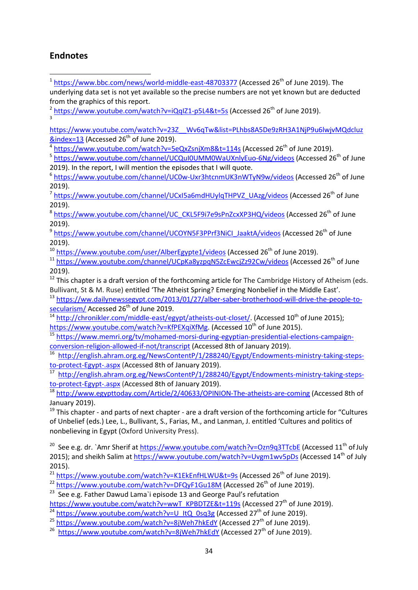# **Endnotes**

 $\overline{a}$ 

<span id="page-33-0"></span> $1 \text{ https://www.bbc.com/news/world-middle-east-48703377}$  $1 \text{ https://www.bbc.com/news/world-middle-east-48703377}$  $1 \text{ https://www.bbc.com/news/world-middle-east-48703377}$  (Accessed 26<sup>th</sup> of June 2019). The underlying data set is not yet available so the precise numbers are not yet known but are deducted from the graphics of this report.

<span id="page-33-1"></span><sup>2</sup> <https://www.youtube.com/watch?v=iQqIZ1-p5L4&t=5s> (Accessed 26<sup>th</sup> of June 2019). 3

<span id="page-33-2"></span>[https://www.youtube.com/watch?v=23Z\\_\\_Wv6qTw&list=PLhbs8A5De9zRH3A1NjP9u6lwjvMQdcluz](https://www.youtube.com/watch?v=23Z__Wv6qTw&list=PLhbs8A5De9zRH3A1NjP9u6lwjvMQdcluz&index=13)  $\&$  index=13 (Accessed 26<sup>th</sup> of June 2019).

<span id="page-33-3"></span><sup>4</sup> <https://www.youtube.com/watch?v=5eQxZsnjXm8&t=114s> (Accessed 26<sup>th</sup> of June 2019).

<sup>5</sup> <https://www.youtube.com/channel/UCQuI0UMM0WaUXnlyEuo-6Ng/videos> (Accessed 26<sup>th</sup> of June 2019). In the report, I will mention the episodes that I will quote.

 $6$  <https://www.youtube.com/channel/UC0w-Uxr3htcnmUK3nWTyN9w/videos> (Accessed 26<sup>th</sup> of June 2019).

<sup>7</sup> [https://www.youtube.com/channel/UCxI5a6mdHUylqTHPVZ\\_UAzg/videos](https://www.youtube.com/channel/UCxI5a6mdHUylqTHPVZ_UAzg/videos) (Accessed 26<sup>th</sup> of June 2019).

<sup>8</sup> [https://www.youtube.com/channel/UC\\_CKL5F9i7e9sPnZcxXP3HQ/videos](https://www.youtube.com/channel/UC_CKL5F9i7e9sPnZcxXP3HQ/videos) (Accessed 26<sup>th</sup> of June 2019).

<sup>9</sup> [https://www.youtube.com/channel/UCOYN5F3PPrf3NiCI\\_JaaktA/videos](https://www.youtube.com/channel/UCOYN5F3PPrf3NiCI_JaaktA/videos) (Accessed 26<sup>th</sup> of June 2019).

<sup>10</sup> <https://www.youtube.com/user/AlberEgypte1/videos> (Accessed 26<sup>th</sup> of June 2019).

<sup>11</sup> <https://www.youtube.com/channel/UCpKa8yzpqN5ZcEwcjZz92Cw/videos> (Accessed 26<sup>th</sup> of June 2019).

 $12$  This chapter is a draft version of the forthcoming article for The Cambridge History of Atheism (eds. Bullivant, St & M. Ruse) entitled 'The Atheist Spring? Emerging Nonbelief in the Middle East'.

13 [https://ww.dailynewssegypt.com/2013/01/27/alber-saber-brotherhood-will-drive-the-people-to](https://ww.dailynewssegypt.com/2013/01/27/alber-saber-brotherhood-will-drive-the-people-to-secularism/)[secularism/](https://ww.dailynewssegypt.com/2013/01/27/alber-saber-brotherhood-will-drive-the-people-to-secularism/) Accessed 26<sup>th</sup> of June 2019.

14 [http://chronikler.com/middle-east/egypt/atheists-out-closet/.](http://chronikler.com/middle-east/egypt/atheists-out-closet/) (Accessed 10<sup>th</sup> of June 2015); [https://www.youtube.com/watch?v=KfPEXqiXfMg.](https://www.youtube.com/watch?v=KfPEXqiXfMg) (Accessed 10<sup>th</sup> of June 2015).

15 [https://www.memri.org/tv/mohamed-morsi-during-egyptian-presidential-elections-campaign](https://www.memri.org/tv/mohamed-morsi-during-egyptian-presidential-elections-campaign-conversion-religion-allowed-if-not/transcript)[conversion-religion-allowed-if-not/transcript](https://www.memri.org/tv/mohamed-morsi-during-egyptian-presidential-elections-campaign-conversion-religion-allowed-if-not/transcript) (Accessed 8th of January 2019).

<sup>16</sup> [http://english.ahram.org.eg/NewsContentP/1/288240/Egypt/Endowments-ministry-taking-steps](http://english.ahram.org.eg/NewsContentP/1/288240/Egypt/Endowments-ministry-taking-steps-to-protect-Egypt-.aspx)[to-protect-Egypt-.aspx](http://english.ahram.org.eg/NewsContentP/1/288240/Egypt/Endowments-ministry-taking-steps-to-protect-Egypt-.aspx) (Accessed 8th of January 2019).

[http://english.ahram.org.eg/NewsContentP/1/288240/Egypt/Endowments-ministry-taking-steps](http://english.ahram.org.eg/NewsContentP/1/288240/Egypt/Endowments-ministry-taking-steps-to-protect-Egypt-.aspx)[to-protect-Egypt-.aspx](http://english.ahram.org.eg/NewsContentP/1/288240/Egypt/Endowments-ministry-taking-steps-to-protect-Egypt-.aspx) (Accessed 8th of January 2019).

<sup>18</sup> <http://www.egypttoday.com/Article/2/40633/OPINION-The-atheists-are-coming> (Accessed 8th of January 2019).

 $19$  This chapter - and parts of next chapter - are a draft version of the forthcoming article for "Cultures" of Unbelief (eds.) Lee, L., Bullivant, S., Farias, M., and Lanman, J. entitled 'Cultures and politics of nonbelieving in Egypt (Oxford University Press).

<sup>20</sup> See e.g. dr. `Amr Sherif a[t https://www.youtube.com/watch?v=Ozn9q3TTcbE](https://www.youtube.com/watch?v=Ozn9q3TTcbE) (Accessed 11<sup>th</sup> of July 2015); and sheikh Salim a[t https://www.youtube.com/watch?v=Uvgm1wv5pDs](https://www.youtube.com/watch?v=Uvgm1wv5pDs) (Accessed 14<sup>th</sup> of July 2015).

 $^{21}$  <https://www.youtube.com/watch?v=K1EkEnfHLWU&t=9s> (Accessed 26<sup>th</sup> of June 2019).

<sup>22</sup> <https://www.youtube.com/watch?v=DFQyF1Gu18M> (Accessed 26<sup>th</sup> of June 2019).

 $23$  See e.g. Father Dawud Lama`i episode 13 and George Paul's refutation

[https://www.youtube.com/watch?v=wwT\\_KPBDTZE&t=119s](https://www.youtube.com/watch?v=wwT_KPBDTZE&t=119s) (Accessed 27<sup>th</sup> of June 2019).

<sup>24</sup> [https://www.youtube.com/watch?v=U\\_ItQ\\_0sq3g](https://www.youtube.com/watch?v=U_ItQ_0sq3g) (Accessed 27<sup>th</sup> of June 2019).

<sup>25</sup> <https://www.youtube.com/watch?v=8jWeh7hkEdY> (Accessed 27<sup>th</sup> of June 2019).

<sup>26</sup> <https://www.youtube.com/watch?v=8jWeh7hkEdY> (Accessed 27<sup>th</sup> of June 2019).